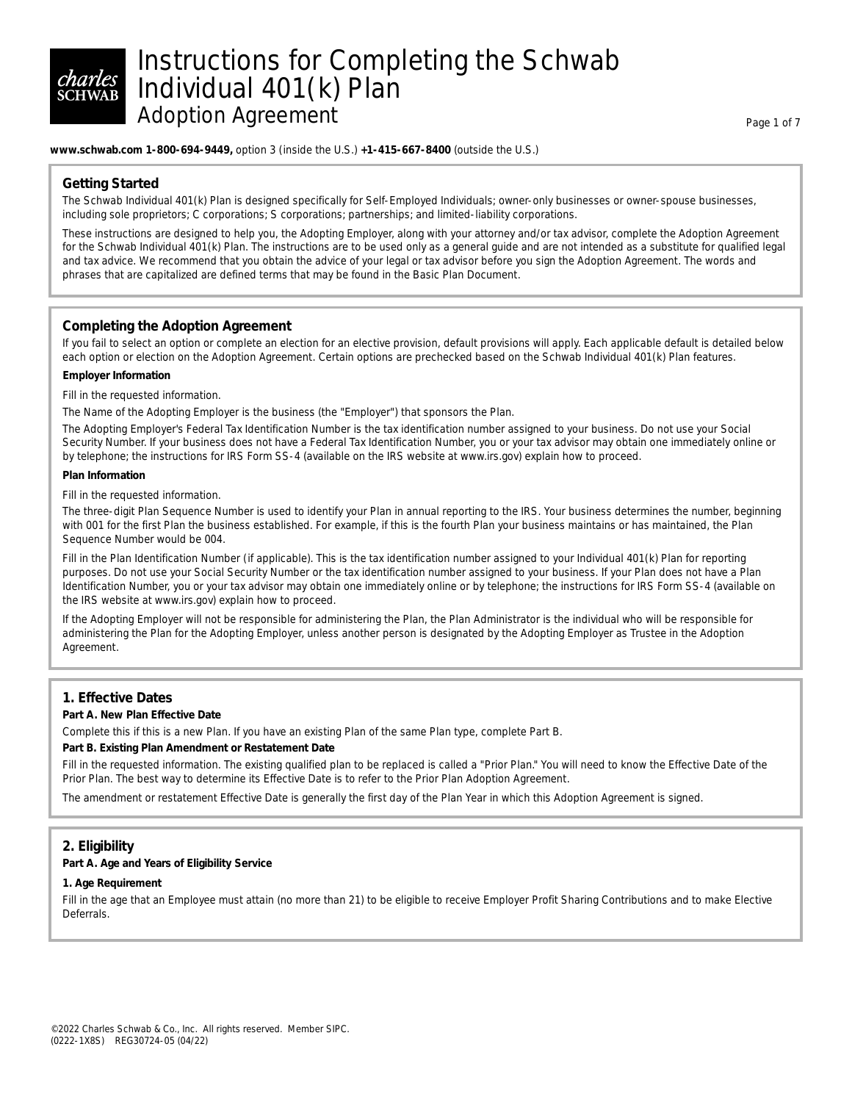# Instructions for Completing the Schwab Individual 401(k) Plan Adoption Agreement **Page 1 of 7** and 7 and 7 and 7 and 7 and 7 and 7 and 7 and 7 and 7 and 7 and 7 and 7 and 7 and 7 and 7 and 7 and 7 and 7 and 7 and 7 and 7 and 7 and 7 and 7 and 7 and 7 and 7 and 7 and 7 and 7 and 7 and

#### **www.schwab.com 1-800-694-9449,** option 3 (inside the U.S.) **+1-415-667-8400** (outside the U.S.)

# **Getting Started**

The Schwab Individual 401(k) Plan is designed specifically for Self-Employed Individuals; owner-only businesses or owner-spouse businesses, including sole proprietors; C corporations; S corporations; partnerships; and limited-liability corporations.

These instructions are designed to help you, the Adopting Employer, along with your attorney and/or tax advisor, complete the Adoption Agreement for the Schwab Individual 401(k) Plan. The instructions are to be used only as a general guide and are not intended as a substitute for qualified legal and tax advice. We recommend that you obtain the advice of your legal or tax advisor before you sign the Adoption Agreement. The words and phrases that are capitalized are defined terms that may be found in the Basic Plan Document.

# **Completing the Adoption Agreement**

If you fail to select an option or complete an election for an elective provision, default provisions will apply. Each applicable default is detailed below each option or election on the Adoption Agreement. Certain options are prechecked based on the Schwab Individual 401(k) Plan features.

#### **Employer Information**

Fill in the requested information.

The Name of the Adopting Employer is the business (the "Employer") that sponsors the Plan.

The Adopting Employer's Federal Tax Identification Number is the tax identification number assigned to your business. Do not use your Social Security Number. If your business does not have a Federal Tax Identification Number, you or your tax advisor may obtain one immediately online or by telephone; the instructions for IRS Form SS-4 (available on the IRS website at www.irs.gov) explain how to proceed.

### **Plan Information**

Fill in the requested information.

The three-digit Plan Sequence Number is used to identify your Plan in annual reporting to the IRS. Your business determines the number, beginning with 001 for the first Plan the business established. For example, if this is the fourth Plan your business maintains or has maintained, the Plan Sequence Number would be 004.

Fill in the Plan Identification Number (if applicable). This is the tax identification number assigned to your Individual 401(k) Plan for reporting purposes. Do not use your Social Security Number or the tax identification number assigned to your business. If your Plan does not have a Plan Identification Number, you or your tax advisor may obtain one immediately online or by telephone; the instructions for IRS Form SS-4 (available on the IRS website at www.irs.gov) explain how to proceed.

If the Adopting Employer will not be responsible for administering the Plan, the Plan Administrator is the individual who will be responsible for administering the Plan for the Adopting Employer, unless another person is designated by the Adopting Employer as Trustee in the Adoption Agreement.

# **1. Effective Dates**

#### **Part A. New Plan Effective Date**

Complete this if this is a new Plan. If you have an existing Plan of the same Plan type, complete Part B.

#### **Part B. Existing Plan Amendment or Restatement Date**

Fill in the requested information. The existing qualified plan to be replaced is called a "Prior Plan." You will need to know the Effective Date of the Prior Plan. The best way to determine its Effective Date is to refer to the Prior Plan Adoption Agreement.

The amendment or restatement Effective Date is generally the first day of the Plan Year in which this Adoption Agreement is signed.

# **2. Eligibility**

### **Part A. Age and Years of Eligibility Service**

#### **1. Age Requirement**

Fill in the age that an Employee must attain (no more than 21) to be eligible to receive Employer Profit Sharing Contributions and to make Elective Deferrals.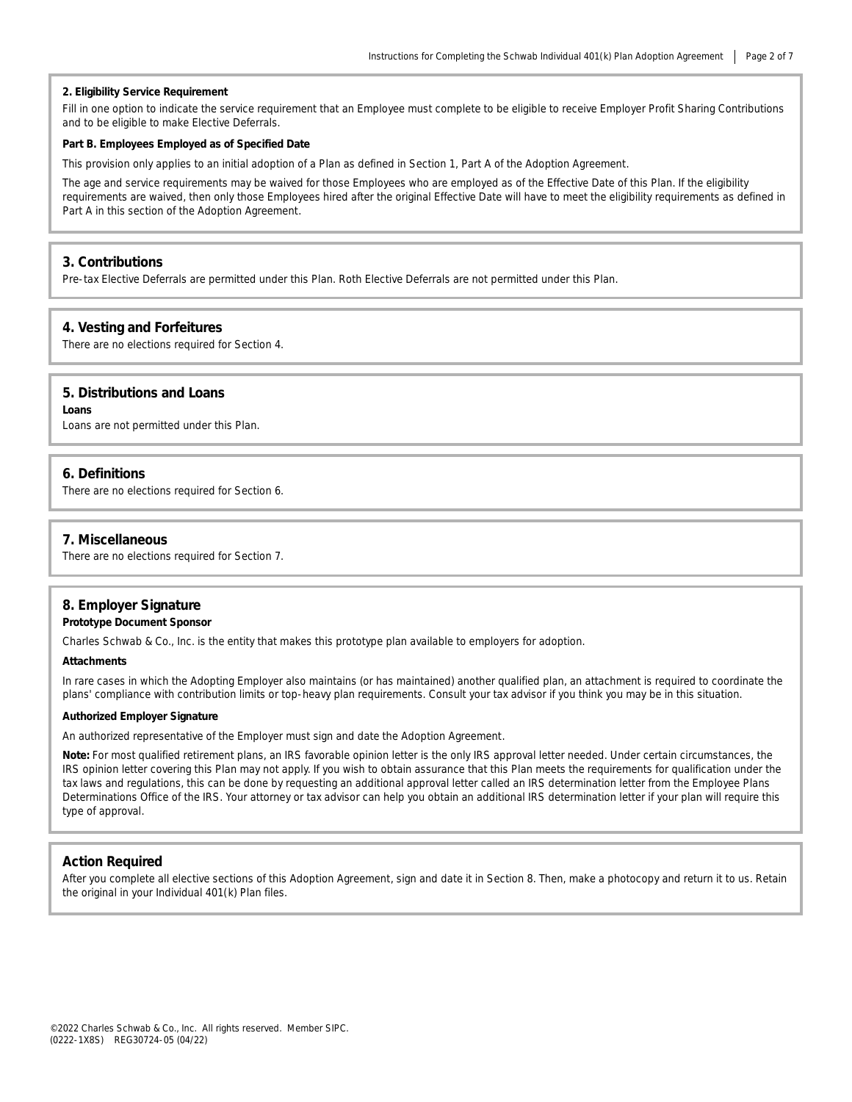#### **2. Eligibility Service Requirement**

Fill in one option to indicate the service requirement that an Employee must complete to be eligible to receive Employer Profit Sharing Contributions and to be eligible to make Elective Deferrals.

#### **Part B. Employees Employed as of Specified Date**

This provision only applies to an initial adoption of a Plan as defined in Section 1, Part A of the Adoption Agreement.

The age and service requirements may be waived for those Employees who are employed as of the Effective Date of this Plan. If the eligibility requirements are waived, then only those Employees hired after the original Effective Date will have to meet the eligibility requirements as defined in Part A in this section of the Adoption Agreement.

#### **3. Contributions**

Pre-tax Elective Deferrals are permitted under this Plan. Roth Elective Deferrals are not permitted under this Plan.

#### **4. Vesting and Forfeitures**

There are no elections required for Section 4.

#### **5. Distributions and Loans**

**Loans**

Loans are not permitted under this Plan.

## **6. Definitions**

There are no elections required for Section 6.

#### **7. Miscellaneous**

There are no elections required for Section 7.

# **8. Employer Signature**

#### **Prototype Document Sponsor**

Charles Schwab & Co., Inc. is the entity that makes this prototype plan available to employers for adoption.

#### **Attachments**

In rare cases in which the Adopting Employer also maintains (or has maintained) another qualified plan, an attachment is required to coordinate the plans' compliance with contribution limits or top-heavy plan requirements. Consult your tax advisor if you think you may be in this situation.

#### **Authorized Employer Signature**

An authorized representative of the Employer must sign and date the Adoption Agreement.

**Note:** For most qualified retirement plans, an IRS favorable opinion letter is the only IRS approval letter needed. Under certain circumstances, the IRS opinion letter covering this Plan may not apply. If you wish to obtain assurance that this Plan meets the requirements for qualification under the tax laws and regulations, this can be done by requesting an additional approval letter called an IRS determination letter from the Employee Plans Determinations Office of the IRS. Your attorney or tax advisor can help you obtain an additional IRS determination letter if your plan will require this type of approval.

#### **Action Required**

After you complete all elective sections of this Adoption Agreement, sign and date it in Section 8. Then, make a photocopy and return it to us. Retain the original in your Individual 401(k) Plan files.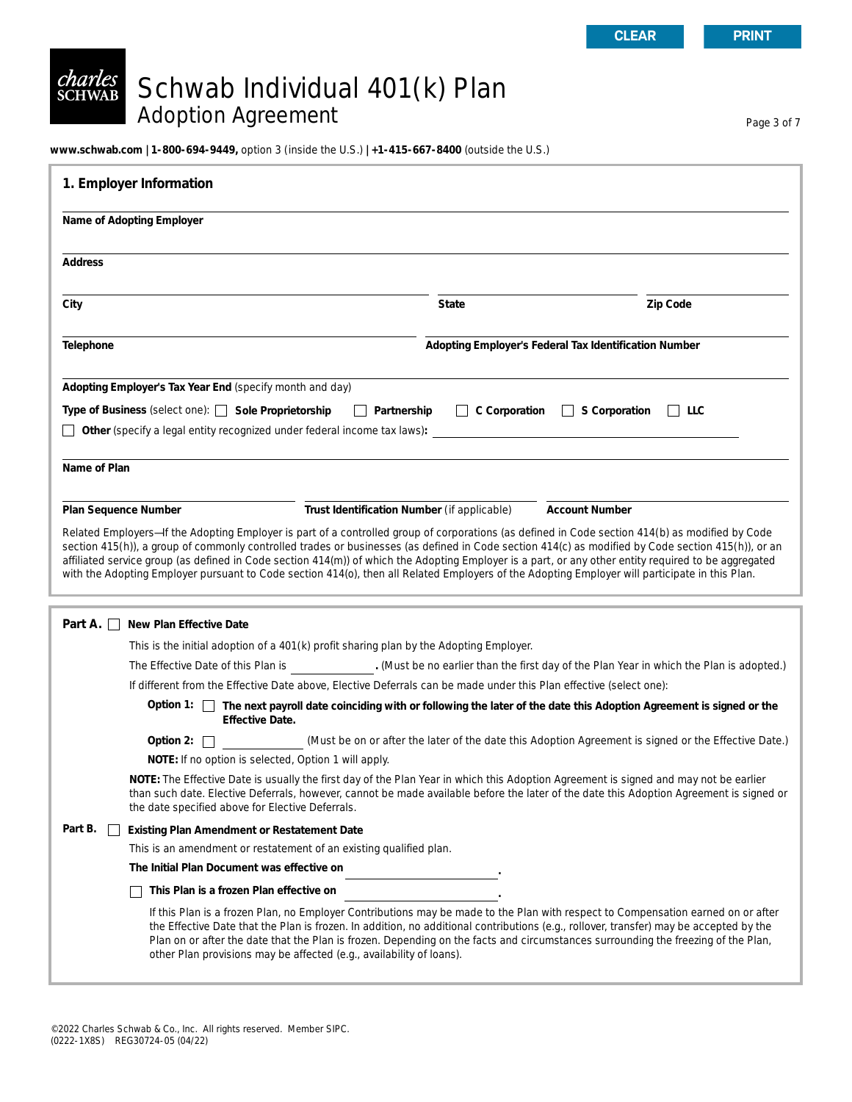# *charles*<br>schwab Schwab Individual 401(k) Plan Adoption Agreement Page 3 of 7

**www.schwab.com | 1-800-694-9449,** option 3 (inside the U.S.) **| +1-415-667-8400** (outside the U.S.)

| 1. Employer Information                                                                                                                                                                                                                                                                                                                                                                                                                                                                                                                                                                                         |                                                       |                                                                                                      |  |  |  |
|-----------------------------------------------------------------------------------------------------------------------------------------------------------------------------------------------------------------------------------------------------------------------------------------------------------------------------------------------------------------------------------------------------------------------------------------------------------------------------------------------------------------------------------------------------------------------------------------------------------------|-------------------------------------------------------|------------------------------------------------------------------------------------------------------|--|--|--|
| Name of Adopting Employer                                                                                                                                                                                                                                                                                                                                                                                                                                                                                                                                                                                       |                                                       |                                                                                                      |  |  |  |
| <b>Address</b>                                                                                                                                                                                                                                                                                                                                                                                                                                                                                                                                                                                                  |                                                       |                                                                                                      |  |  |  |
| City                                                                                                                                                                                                                                                                                                                                                                                                                                                                                                                                                                                                            | <b>State</b>                                          | Zip Code                                                                                             |  |  |  |
| Telephone                                                                                                                                                                                                                                                                                                                                                                                                                                                                                                                                                                                                       | Adopting Employer's Federal Tax Identification Number |                                                                                                      |  |  |  |
| Adopting Employer's Tax Year End (specify month and day)                                                                                                                                                                                                                                                                                                                                                                                                                                                                                                                                                        |                                                       |                                                                                                      |  |  |  |
| Type of Business (select one): Sole Proprietorship<br>$\Box$ C Corporation<br>$\Box$ S Corporation<br>$\Box$ Partnership<br>$\vert$ $\vert$ LLC<br>Other (specify a legal entity recognized under federal income tax laws):                                                                                                                                                                                                                                                                                                                                                                                     |                                                       |                                                                                                      |  |  |  |
| Name of Plan                                                                                                                                                                                                                                                                                                                                                                                                                                                                                                                                                                                                    |                                                       |                                                                                                      |  |  |  |
| Plan Sequence Number                                                                                                                                                                                                                                                                                                                                                                                                                                                                                                                                                                                            | Trust Identification Number (if applicable)           | <b>Account Number</b>                                                                                |  |  |  |
| Related Employers-If the Adopting Employer is part of a controlled group of corporations (as defined in Code section 414(b) as modified by Code<br>section 415(h)), a group of commonly controlled trades or businesses (as defined in Code section 414(c) as modified by Code section 415(h)), or an<br>affiliated service group (as defined in Code section 414(m)) of which the Adopting Employer is a part, or any other entity required to be aggregated<br>with the Adopting Employer pursuant to Code section 414(o), then all Related Employers of the Adopting Employer will participate in this Plan. |                                                       |                                                                                                      |  |  |  |
| Part A. $\Box$<br>New Plan Effective Date                                                                                                                                                                                                                                                                                                                                                                                                                                                                                                                                                                       |                                                       |                                                                                                      |  |  |  |
| This is the initial adoption of a 401(k) profit sharing plan by the Adopting Employer.                                                                                                                                                                                                                                                                                                                                                                                                                                                                                                                          |                                                       |                                                                                                      |  |  |  |
| The Effective Date of this Plan is (Must be no earlier than the first day of the Plan Year in which the Plan is adopted.)                                                                                                                                                                                                                                                                                                                                                                                                                                                                                       |                                                       |                                                                                                      |  |  |  |
| If different from the Effective Date above, Elective Deferrals can be made under this Plan effective (select one):                                                                                                                                                                                                                                                                                                                                                                                                                                                                                              |                                                       |                                                                                                      |  |  |  |
| Option 1: \ The next payroll date coinciding with or following the later of the date this Adoption Agreement is signed or the<br><b>Effective Date.</b>                                                                                                                                                                                                                                                                                                                                                                                                                                                         |                                                       |                                                                                                      |  |  |  |
| Option 2: $\Box$                                                                                                                                                                                                                                                                                                                                                                                                                                                                                                                                                                                                |                                                       | (Must be on or after the later of the date this Adoption Agreement is signed or the Effective Date.) |  |  |  |
| NOTE: If no option is selected, Option 1 will apply.                                                                                                                                                                                                                                                                                                                                                                                                                                                                                                                                                            |                                                       |                                                                                                      |  |  |  |
| NOTE: The Effective Date is usually the first day of the Plan Year in which this Adoption Agreement is signed and may not be earlier<br>than such date. Elective Deferrals, however, cannot be made available before the later of the date this Adoption Agreement is signed or<br>the date specified above for Elective Deferrals.                                                                                                                                                                                                                                                                             |                                                       |                                                                                                      |  |  |  |
| Part B.<br><b>Existing Plan Amendment or Restatement Date</b><br>$\perp$                                                                                                                                                                                                                                                                                                                                                                                                                                                                                                                                        |                                                       |                                                                                                      |  |  |  |
| This is an amendment or restatement of an existing qualified plan.                                                                                                                                                                                                                                                                                                                                                                                                                                                                                                                                              |                                                       |                                                                                                      |  |  |  |
| The Initial Plan Document was effective on                                                                                                                                                                                                                                                                                                                                                                                                                                                                                                                                                                      |                                                       |                                                                                                      |  |  |  |
| This Plan is a frozen Plan effective on                                                                                                                                                                                                                                                                                                                                                                                                                                                                                                                                                                         |                                                       |                                                                                                      |  |  |  |
| If this Plan is a frozen Plan, no Employer Contributions may be made to the Plan with respect to Compensation earned on or after<br>the Effective Date that the Plan is frozen. In addition, no additional contributions (e.g., rollover, transfer) may be accepted by the<br>Plan on or after the date that the Plan is frozen. Depending on the facts and circumstances surrounding the freezing of the Plan,<br>other Plan provisions may be affected (e.g., availability of loans).                                                                                                                         |                                                       |                                                                                                      |  |  |  |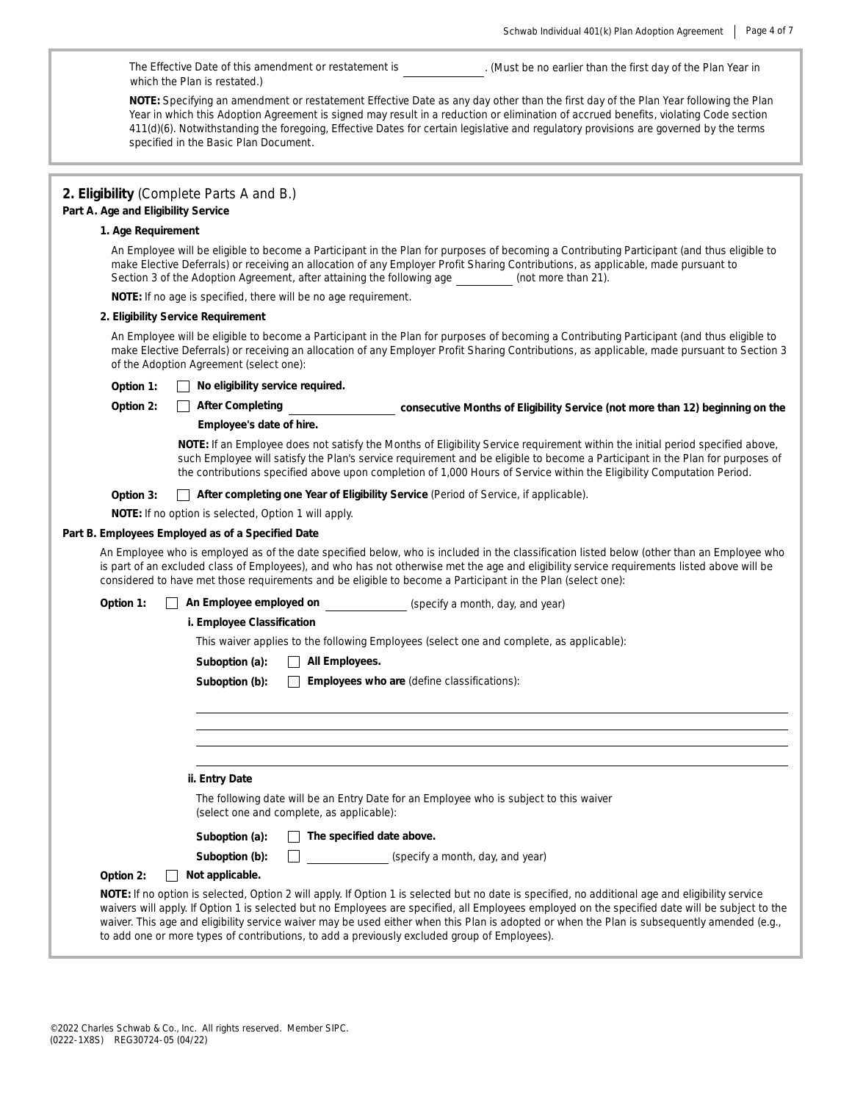٦

|                                                                                                                                                                                                                                                                                                                                                                                                                                                               | . (Must be no earlier than the first day of the Plan Year in<br>The Effective Date of this amendment or restatement is<br>which the Plan is restated.) |                                                                                                                                                                                                                                                                                                                                                                                                                                                     |  |  |  |
|---------------------------------------------------------------------------------------------------------------------------------------------------------------------------------------------------------------------------------------------------------------------------------------------------------------------------------------------------------------------------------------------------------------------------------------------------------------|--------------------------------------------------------------------------------------------------------------------------------------------------------|-----------------------------------------------------------------------------------------------------------------------------------------------------------------------------------------------------------------------------------------------------------------------------------------------------------------------------------------------------------------------------------------------------------------------------------------------------|--|--|--|
| NOTE: Specifying an amendment or restatement Effective Date as any day other than the first day of the Plan Year following the Plan<br>Year in which this Adoption Agreement is signed may result in a reduction or elimination of accrued benefits, violating Code section<br>411(d)(6). Notwithstanding the foregoing, Effective Dates for certain legislative and regulatory provisions are governed by the terms<br>specified in the Basic Plan Document. |                                                                                                                                                        |                                                                                                                                                                                                                                                                                                                                                                                                                                                     |  |  |  |
|                                                                                                                                                                                                                                                                                                                                                                                                                                                               |                                                                                                                                                        |                                                                                                                                                                                                                                                                                                                                                                                                                                                     |  |  |  |
| Part A. Age and Eligibility Service                                                                                                                                                                                                                                                                                                                                                                                                                           | 2. Eligibility (Complete Parts A and B.)                                                                                                               |                                                                                                                                                                                                                                                                                                                                                                                                                                                     |  |  |  |
| 1. Age Requirement                                                                                                                                                                                                                                                                                                                                                                                                                                            |                                                                                                                                                        |                                                                                                                                                                                                                                                                                                                                                                                                                                                     |  |  |  |
|                                                                                                                                                                                                                                                                                                                                                                                                                                                               | Section 3 of the Adoption Agreement, after attaining the following age                                                                                 | An Employee will be eligible to become a Participant in the Plan for purposes of becoming a Contributing Participant (and thus eligible to<br>make Elective Deferrals) or receiving an allocation of any Employer Profit Sharing Contributions, as applicable, made pursuant to<br>(not more than 21).                                                                                                                                              |  |  |  |
|                                                                                                                                                                                                                                                                                                                                                                                                                                                               | NOTE: If no age is specified, there will be no age requirement.                                                                                        |                                                                                                                                                                                                                                                                                                                                                                                                                                                     |  |  |  |
|                                                                                                                                                                                                                                                                                                                                                                                                                                                               | 2. Eligibility Service Requirement                                                                                                                     |                                                                                                                                                                                                                                                                                                                                                                                                                                                     |  |  |  |
|                                                                                                                                                                                                                                                                                                                                                                                                                                                               | of the Adoption Agreement (select one):                                                                                                                | An Employee will be eligible to become a Participant in the Plan for purposes of becoming a Contributing Participant (and thus eligible to<br>make Elective Deferrals) or receiving an allocation of any Employer Profit Sharing Contributions, as applicable, made pursuant to Section 3                                                                                                                                                           |  |  |  |
| Option 1:                                                                                                                                                                                                                                                                                                                                                                                                                                                     | No eligibility service required.                                                                                                                       |                                                                                                                                                                                                                                                                                                                                                                                                                                                     |  |  |  |
| Option 2:                                                                                                                                                                                                                                                                                                                                                                                                                                                     | <b>After Completing</b>                                                                                                                                | consecutive Months of Eligibility Service (not more than 12) beginning on the                                                                                                                                                                                                                                                                                                                                                                       |  |  |  |
|                                                                                                                                                                                                                                                                                                                                                                                                                                                               | Employee's date of hire.                                                                                                                               |                                                                                                                                                                                                                                                                                                                                                                                                                                                     |  |  |  |
|                                                                                                                                                                                                                                                                                                                                                                                                                                                               |                                                                                                                                                        | NOTE: If an Employee does not satisfy the Months of Eligibility Service requirement within the initial period specified above,<br>such Employee will satisfy the Plan's service requirement and be eligible to become a Participant in the Plan for purposes of<br>the contributions specified above upon completion of 1,000 Hours of Service within the Eligibility Computation Period.                                                           |  |  |  |
| Option 3:                                                                                                                                                                                                                                                                                                                                                                                                                                                     | After completing one Year of Eligibility Service (Period of Service, if applicable).                                                                   |                                                                                                                                                                                                                                                                                                                                                                                                                                                     |  |  |  |
|                                                                                                                                                                                                                                                                                                                                                                                                                                                               | NOTE: If no option is selected, Option 1 will apply.                                                                                                   |                                                                                                                                                                                                                                                                                                                                                                                                                                                     |  |  |  |
|                                                                                                                                                                                                                                                                                                                                                                                                                                                               | Part B. Employees Employed as of a Specified Date                                                                                                      |                                                                                                                                                                                                                                                                                                                                                                                                                                                     |  |  |  |
|                                                                                                                                                                                                                                                                                                                                                                                                                                                               | considered to have met those requirements and be eligible to become a Participant in the Plan (select one):                                            | An Employee who is employed as of the date specified below, who is included in the classification listed below (other than an Employee who<br>is part of an excluded class of Employees), and who has not otherwise met the age and eligibility service requirements listed above will be                                                                                                                                                           |  |  |  |
| Option 1:                                                                                                                                                                                                                                                                                                                                                                                                                                                     | An Employee employed on                                                                                                                                | (specify a month, day, and year)                                                                                                                                                                                                                                                                                                                                                                                                                    |  |  |  |
|                                                                                                                                                                                                                                                                                                                                                                                                                                                               | i. Employee Classification                                                                                                                             |                                                                                                                                                                                                                                                                                                                                                                                                                                                     |  |  |  |
|                                                                                                                                                                                                                                                                                                                                                                                                                                                               |                                                                                                                                                        | This waiver applies to the following Employees (select one and complete, as applicable):                                                                                                                                                                                                                                                                                                                                                            |  |  |  |
|                                                                                                                                                                                                                                                                                                                                                                                                                                                               | All Employees.<br>Suboption (a):                                                                                                                       |                                                                                                                                                                                                                                                                                                                                                                                                                                                     |  |  |  |
|                                                                                                                                                                                                                                                                                                                                                                                                                                                               | Suboption (b):<br>$\Box$ Employees who are (define classifications):                                                                                   |                                                                                                                                                                                                                                                                                                                                                                                                                                                     |  |  |  |
|                                                                                                                                                                                                                                                                                                                                                                                                                                                               |                                                                                                                                                        |                                                                                                                                                                                                                                                                                                                                                                                                                                                     |  |  |  |
|                                                                                                                                                                                                                                                                                                                                                                                                                                                               |                                                                                                                                                        |                                                                                                                                                                                                                                                                                                                                                                                                                                                     |  |  |  |
|                                                                                                                                                                                                                                                                                                                                                                                                                                                               |                                                                                                                                                        |                                                                                                                                                                                                                                                                                                                                                                                                                                                     |  |  |  |
|                                                                                                                                                                                                                                                                                                                                                                                                                                                               |                                                                                                                                                        |                                                                                                                                                                                                                                                                                                                                                                                                                                                     |  |  |  |
|                                                                                                                                                                                                                                                                                                                                                                                                                                                               | ii. Entry Date                                                                                                                                         |                                                                                                                                                                                                                                                                                                                                                                                                                                                     |  |  |  |
|                                                                                                                                                                                                                                                                                                                                                                                                                                                               | The following date will be an Entry Date for an Employee who is subject to this waiver<br>(select one and complete, as applicable):                    |                                                                                                                                                                                                                                                                                                                                                                                                                                                     |  |  |  |
|                                                                                                                                                                                                                                                                                                                                                                                                                                                               | The specified date above.<br>Suboption (a):                                                                                                            |                                                                                                                                                                                                                                                                                                                                                                                                                                                     |  |  |  |
|                                                                                                                                                                                                                                                                                                                                                                                                                                                               | Suboption (b):                                                                                                                                         | (specify a month, day, and year)                                                                                                                                                                                                                                                                                                                                                                                                                    |  |  |  |
| Option 2:                                                                                                                                                                                                                                                                                                                                                                                                                                                     | Not applicable.                                                                                                                                        |                                                                                                                                                                                                                                                                                                                                                                                                                                                     |  |  |  |
|                                                                                                                                                                                                                                                                                                                                                                                                                                                               | to add one or more types of contributions, to add a previously excluded group of Employees).                                                           | NOTE: If no option is selected, Option 2 will apply. If Option 1 is selected but no date is specified, no additional age and eligibility service<br>waivers will apply. If Option 1 is selected but no Employees are specified, all Employees employed on the specified date will be subject to the<br>waiver. This age and eligibility service waiver may be used either when this Plan is adopted or when the Plan is subsequently amended (e.g., |  |  |  |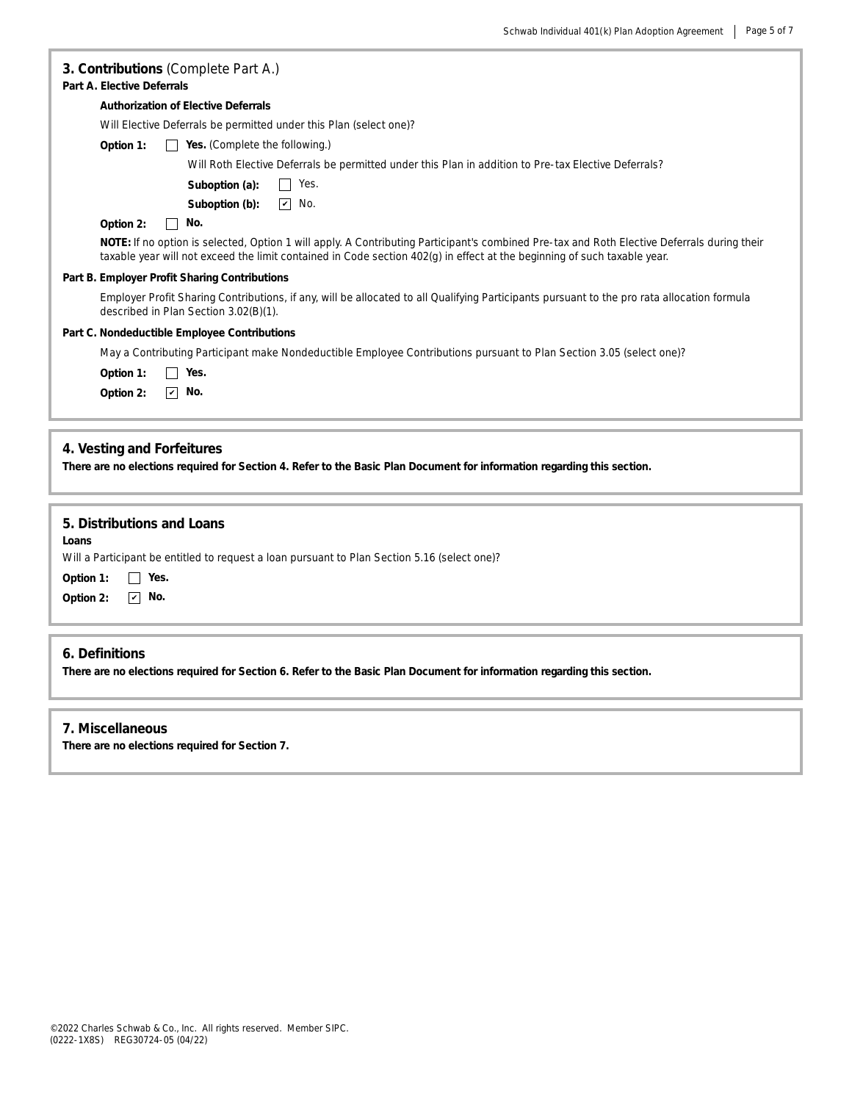| 3. Contributions (Complete Part A.)<br><b>Part A. Elective Deferrals</b>                                                                                                                                                                                                |  |  |  |  |
|-------------------------------------------------------------------------------------------------------------------------------------------------------------------------------------------------------------------------------------------------------------------------|--|--|--|--|
| <b>Authorization of Elective Deferrals</b>                                                                                                                                                                                                                              |  |  |  |  |
| Will Elective Deferrals be permitted under this Plan (select one)?                                                                                                                                                                                                      |  |  |  |  |
| Yes. (Complete the following.)<br>Option 1:                                                                                                                                                                                                                             |  |  |  |  |
| Will Roth Elective Deferrals be permitted under this Plan in addition to Pre-tax Elective Deferrals?                                                                                                                                                                    |  |  |  |  |
| Yes.<br>Suboption (a):<br>$\perp$                                                                                                                                                                                                                                       |  |  |  |  |
| $\overline{\mathbf{v}}$<br>No.<br>Suboption (b):                                                                                                                                                                                                                        |  |  |  |  |
| No.<br>Option 2:                                                                                                                                                                                                                                                        |  |  |  |  |
| NOTE: If no option is selected, Option 1 will apply. A Contributing Participant's combined Pre-tax and Roth Elective Deferrals during their<br>taxable year will not exceed the limit contained in Code section 402(g) in effect at the beginning of such taxable year. |  |  |  |  |
| Part B. Employer Profit Sharing Contributions                                                                                                                                                                                                                           |  |  |  |  |
| Employer Profit Sharing Contributions, if any, will be allocated to all Qualifying Participants pursuant to the pro rata allocation formula<br>described in Plan Section 3.02(B)(1).                                                                                    |  |  |  |  |
| Part C. Nondeductible Employee Contributions                                                                                                                                                                                                                            |  |  |  |  |
| May a Contributing Participant make Nondeductible Employee Contributions pursuant to Plan Section 3.05 (select one)?                                                                                                                                                    |  |  |  |  |
| Yes.<br>Option 1:                                                                                                                                                                                                                                                       |  |  |  |  |
| $\overline{\mathbf{v}}$<br>No.<br>Option 2:                                                                                                                                                                                                                             |  |  |  |  |
|                                                                                                                                                                                                                                                                         |  |  |  |  |
| 4. Vesting and Forfeitures<br>There are no elections required for Section 4. Refer to the Basic Plan Document for information regarding this section.                                                                                                                   |  |  |  |  |
| 5. Distributions and Loans<br>Loans<br>Will a Participant be entitled to request a loan pursuant to Plan Section 5.16 (select one)?<br>Yes.<br>Option 1:<br>$\boxed{\mathbf{v}}$ No.<br>Option 2:                                                                       |  |  |  |  |
| 6. Definitions                                                                                                                                                                                                                                                          |  |  |  |  |
| There are no elections required for Section 6. Refer to the Basic Plan Document for information regarding this section.                                                                                                                                                 |  |  |  |  |

# **7. Miscellaneous**

**There are no elections required for Section 7.**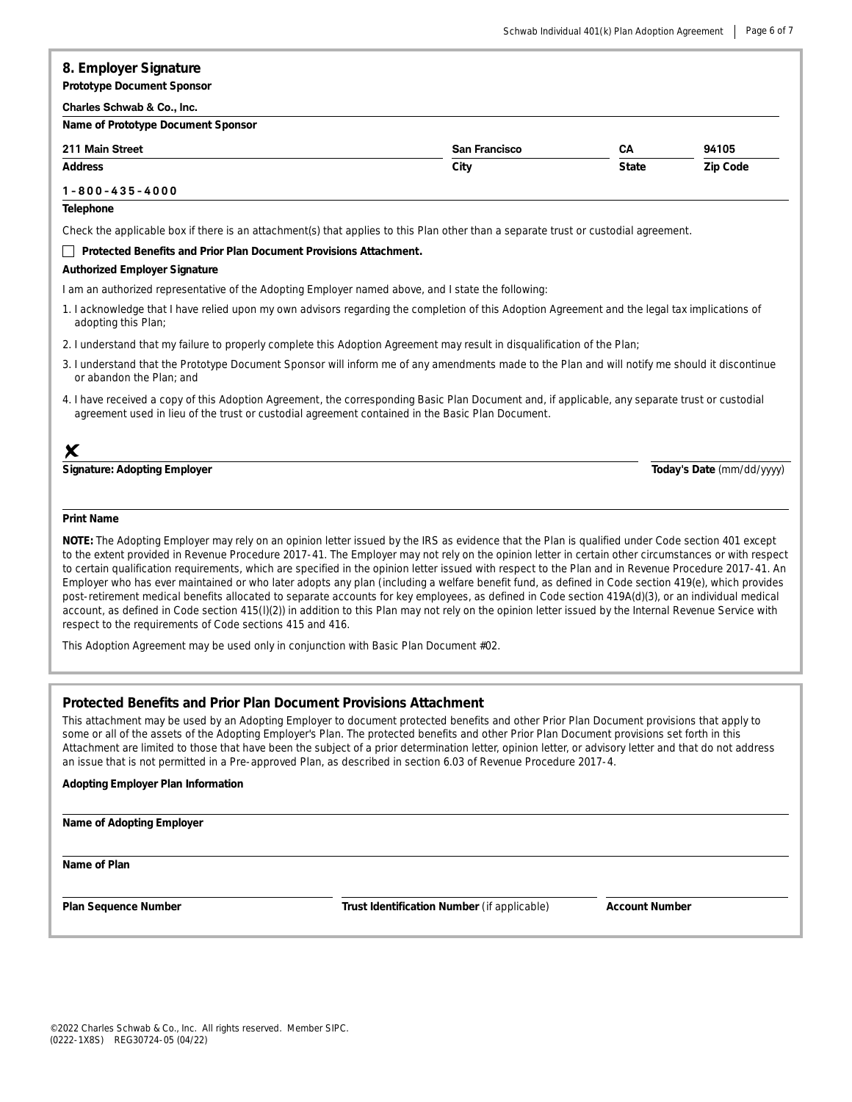# **8. Employer Signature**

**Prototype Document Sponsor**

#### **Charles Schwab & Co., Inc.**

| Name of Prototype Document Sponsor |                      |              |          |  |  |  |
|------------------------------------|----------------------|--------------|----------|--|--|--|
| 211 Main Street                    | <b>San Francisco</b> | CА           | 94105    |  |  |  |
| <b>Address</b>                     | City                 | <b>State</b> | Zip Code |  |  |  |

# **1 - 8 0 0 - 4 3 5 - 4 0 0 0**

## **Telephone**

Check the applicable box if there is an attachment(s) that applies to this Plan other than a separate trust or custodial agreement.

#### **Protected Benefits and Prior Plan Document Provisions Attachment.**

#### **Authorized Employer Signature**

I am an authorized representative of the Adopting Employer named above, and I state the following:

- 1. I acknowledge that I have relied upon my own advisors regarding the completion of this Adoption Agreement and the legal tax implications of adopting this Plan;
- 2. I understand that my failure to properly complete this Adoption Agreement may result in disqualification of the Plan;
- 3. I understand that the Prototype Document Sponsor will inform me of any amendments made to the Plan and will notify me should it discontinue or abandon the Plan; and
- 4. I have received a copy of this Adoption Agreement, the corresponding Basic Plan Document and, if applicable, any separate trust or custodial agreement used in lieu of the trust or custodial agreement contained in the Basic Plan Document.

# $\times$

**Signature: Adopting Employer Today's Date** *(mm/dd/yyyy)*

## **Print Name**

NOTE: The Adopting Employer may rely on an opinion letter issued by the IRS as evidence that the Plan is qualified under Code section 401 except to the extent provided in Revenue Procedure 2017-41. The Employer may not rely on the opinion letter in certain other circumstances or with respect to certain qualification requirements, which are specified in the opinion letter issued with respect to the Plan and in Revenue Procedure 2017-41. An Employer who has ever maintained or who later adopts any plan (including a welfare benefit fund, as defined in Code section 419(e), which provides post-retirement medical benefits allocated to separate accounts for key employees, as defined in Code section 419A(d)(3), or an individual medical account, as defined in Code section 415(I)(2)) in addition to this Plan may not rely on the opinion letter issued by the Internal Revenue Service with *respect to the requirements of Code sections 415 and 416.*

*This Adoption Agreement may be used only in conjunction with Basic Plan Document #02.*

## **Protected Benefits and Prior Plan Document Provisions Attachment**

This attachment may be used by an Adopting Employer to document protected benefits and other Prior Plan Document provisions that apply to some or all of the assets of the Adopting Employer's Plan. The protected benefits and other Prior Plan Document provisions set forth in this Attachment are limited to those that have been the subject of a prior determination letter, opinion letter, or advisory letter and that do not address an issue that is not permitted in a Pre-approved Plan, as described in section 6.03 of Revenue Procedure 2017-4.

## **Adopting Employer Plan Information**

#### **Name of Adopting Employer**

**Name of Plan**

**Plan Sequence Number Trust Identification Number** *(if applicable)* **Account Number**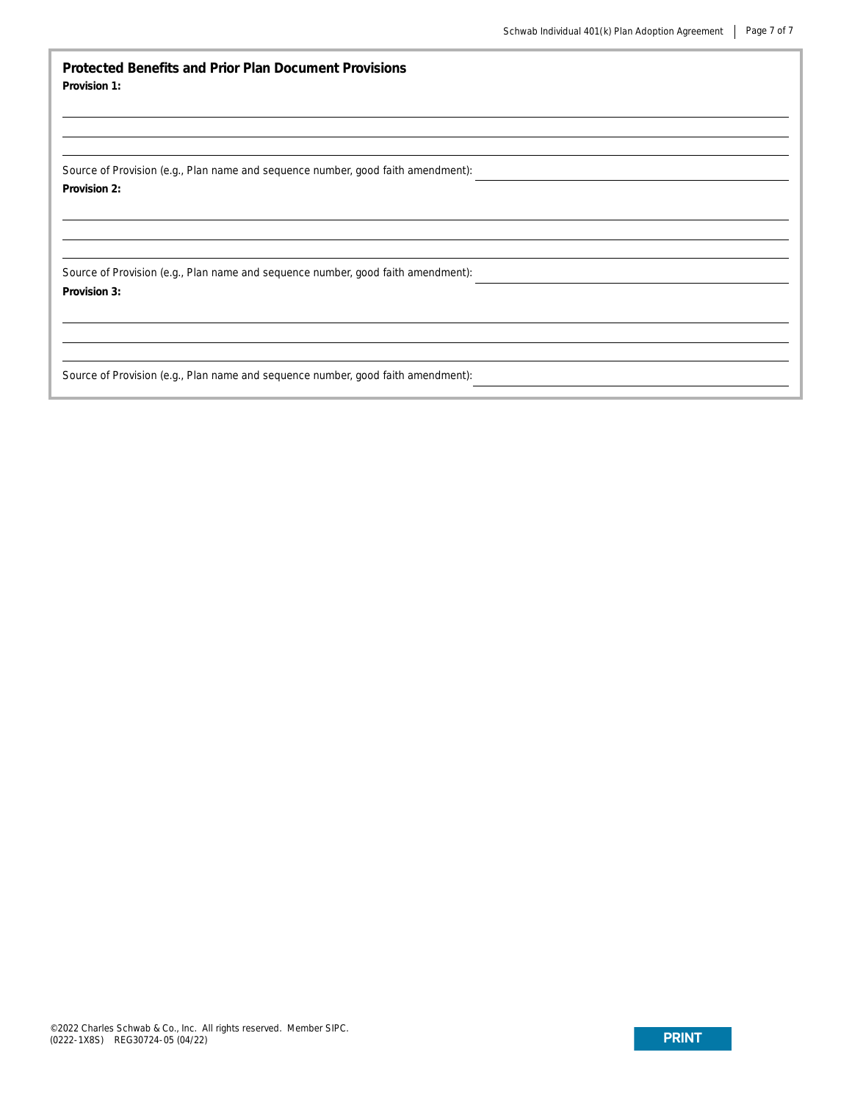**Protected Benefits and Prior Plan Document Provisions Provision 1:**

Source of Provision (e.g., Plan name and sequence number, good faith amendment): **Provision 2:**

Source of Provision (e.g., Plan name and sequence number, good faith amendment): **Provision 3:**

Source of Provision (e.g., Plan name and sequence number, good faith amendment):

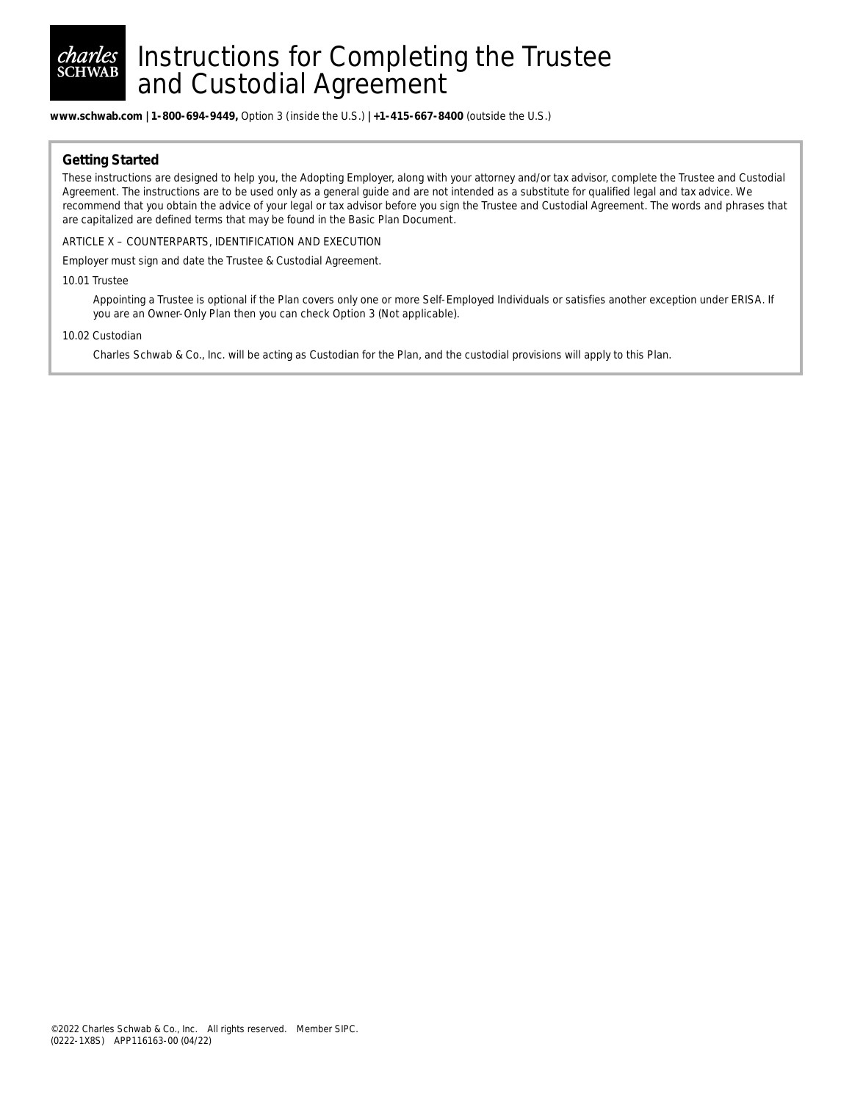

# Instructions for Completing the Trustee and Custodial Agreement

**www.schwab.com | 1-800-694-9449,** Option 3 (inside the U.S.) **| +1-415-667-8400** (outside the U.S.)

# **Getting Started**

These instructions are designed to help you, the Adopting Employer, along with your attorney and/or tax advisor, complete the Trustee and Custodial Agreement. The instructions are to be used only as a general guide and are not intended as a substitute for qualified legal and tax advice. We recommend that you obtain the advice of your legal or tax advisor before you sign the Trustee and Custodial Agreement. The words and phrases that are capitalized are defined terms that may be found in the Basic Plan Document.

ARTICLE X – COUNTERPARTS, IDENTIFICATION AND EXECUTION

Employer must sign and date the Trustee & Custodial Agreement.

#### 10.01 Trustee

Appointing a Trustee is optional if the Plan covers only one or more Self-Employed Individuals or satisfies another exception under ERISA. If you are an Owner-Only Plan then you can check Option 3 (Not applicable).

#### 10.02 Custodian

Charles Schwab & Co., Inc. will be acting as Custodian for the Plan, and the custodial provisions will apply to this Plan.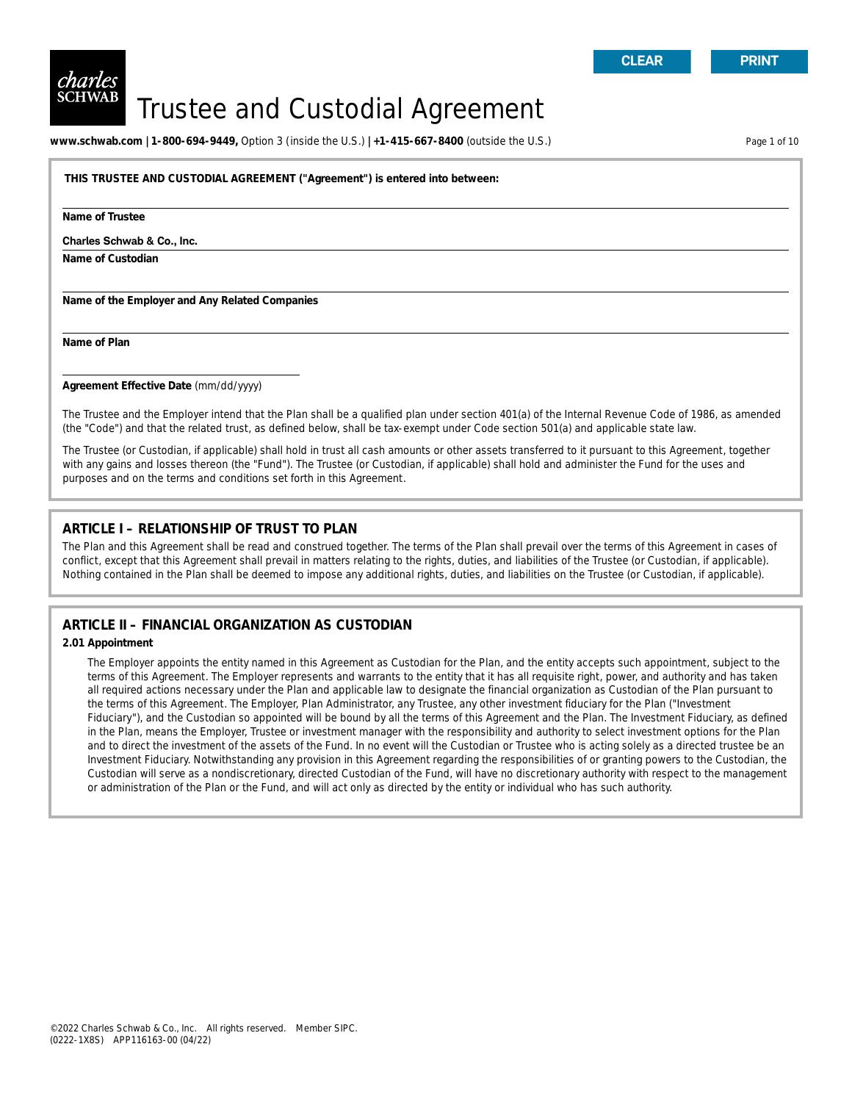# Trustee and Custodial Agreement

**www.schwab.com | 1-800-694-9449,** Option 3 (inside the U.S.) **| +1-415-667-8400** (outside the U.S.) Page 1 of 10

**THIS TRUSTEE AND CUSTODIAL AGREEMENT ("Agreement") is entered into between:**

**Name of Trustee**

#### **Charles Schwab & Co., Inc.**

**Name of Custodian**

**Name of the Employer and Any Related Companies**

**Name of Plan**

**Agreement Effective Date** *(mm/dd/yyyy)*

The Trustee and the Employer intend that the Plan shall be a qualified plan under section 401(a) of the Internal Revenue Code of 1986, as amended (the "Code") and that the related trust, as defined below, shall be tax-exempt under Code section 501(a) and applicable state law.

The Trustee (or Custodian, if applicable) shall hold in trust all cash amounts or other assets transferred to it pursuant to this Agreement, together with any gains and losses thereon (the "Fund"). The Trustee (or Custodian, if applicable) shall hold and administer the Fund for the uses and purposes and on the terms and conditions set forth in this Agreement.

# **ARTICLE I – RELATIONSHIP OF TRUST TO PLAN**

The Plan and this Agreement shall be read and construed together. The terms of the Plan shall prevail over the terms of this Agreement in cases of conflict, except that this Agreement shall prevail in matters relating to the rights, duties, and liabilities of the Trustee (or Custodian, if applicable). Nothing contained in the Plan shall be deemed to impose any additional rights, duties, and liabilities on the Trustee (or Custodian, if applicable).

# **ARTICLE II – FINANCIAL ORGANIZATION AS CUSTODIAN**

#### **2.01 Appointment**

The Employer appoints the entity named in this Agreement as Custodian for the Plan, and the entity accepts such appointment, subject to the terms of this Agreement. The Employer represents and warrants to the entity that it has all requisite right, power, and authority and has taken all required actions necessary under the Plan and applicable law to designate the financial organization as Custodian of the Plan pursuant to the terms of this Agreement. The Employer, Plan Administrator, any Trustee, any other investment fiduciary for the Plan ("Investment Fiduciary"), and the Custodian so appointed will be bound by all the terms of this Agreement and the Plan. The Investment Fiduciary, as defined in the Plan, means the Employer, Trustee or investment manager with the responsibility and authority to select investment options for the Plan and to direct the investment of the assets of the Fund. In no event will the Custodian or Trustee who is acting solely as a directed trustee be an Investment Fiduciary. Notwithstanding any provision in this Agreement regarding the responsibilities of or granting powers to the Custodian, the Custodian will serve as a nondiscretionary, directed Custodian of the Fund, will have no discretionary authority with respect to the management or administration of the Plan or the Fund, and will act only as directed by the entity or individual who has such authority.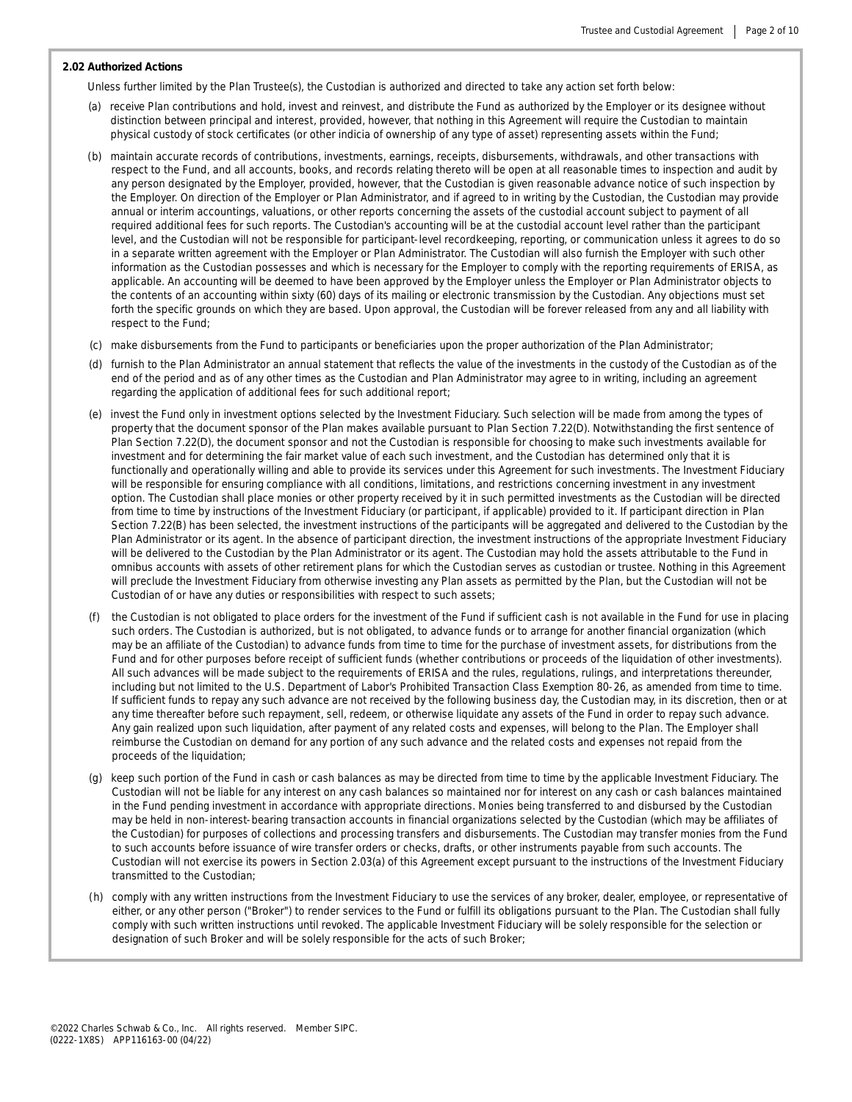#### **2.02 Authorized Actions**

Unless further limited by the Plan Trustee(s), the Custodian is authorized and directed to take any action set forth below:

- (a) receive Plan contributions and hold, invest and reinvest, and distribute the Fund as authorized by the Employer or its designee without distinction between principal and interest, provided, however, that nothing in this Agreement will require the Custodian to maintain physical custody of stock certificates (or other indicia of ownership of any type of asset) representing assets within the Fund;
- (b) maintain accurate records of contributions, investments, earnings, receipts, disbursements, withdrawals, and other transactions with respect to the Fund, and all accounts, books, and records relating thereto will be open at all reasonable times to inspection and audit by any person designated by the Employer, provided, however, that the Custodian is given reasonable advance notice of such inspection by the Employer. On direction of the Employer or Plan Administrator, and if agreed to in writing by the Custodian, the Custodian may provide annual or interim accountings, valuations, or other reports concerning the assets of the custodial account subject to payment of all required additional fees for such reports. The Custodian's accounting will be at the custodial account level rather than the participant level, and the Custodian will not be responsible for participant-level recordkeeping, reporting, or communication unless it agrees to do so in a separate written agreement with the Employer or Plan Administrator. The Custodian will also furnish the Employer with such other information as the Custodian possesses and which is necessary for the Employer to comply with the reporting requirements of ERISA, as applicable. An accounting will be deemed to have been approved by the Employer unless the Employer or Plan Administrator objects to the contents of an accounting within sixty (60) days of its mailing or electronic transmission by the Custodian. Any objections must set forth the specific grounds on which they are based. Upon approval, the Custodian will be forever released from any and all liability with respect to the Fund;
- (c) make disbursements from the Fund to participants or beneficiaries upon the proper authorization of the Plan Administrator;
- (d) furnish to the Plan Administrator an annual statement that reflects the value of the investments in the custody of the Custodian as of the end of the period and as of any other times as the Custodian and Plan Administrator may agree to in writing, including an agreement regarding the application of additional fees for such additional report;
- (e) invest the Fund only in investment options selected by the Investment Fiduciary. Such selection will be made from among the types of property that the document sponsor of the Plan makes available pursuant to Plan Section 7.22(D). Notwithstanding the first sentence of Plan Section 7.22(D), the document sponsor and not the Custodian is responsible for choosing to make such investments available for investment and for determining the fair market value of each such investment, and the Custodian has determined only that it is functionally and operationally willing and able to provide its services under this Agreement for such investments. The Investment Fiduciary will be responsible for ensuring compliance with all conditions, limitations, and restrictions concerning investment in any investment option. The Custodian shall place monies or other property received by it in such permitted investments as the Custodian will be directed from time to time by instructions of the Investment Fiduciary (or participant, if applicable) provided to it. If participant direction in Plan Section 7.22(B) has been selected, the investment instructions of the participants will be aggregated and delivered to the Custodian by the Plan Administrator or its agent. In the absence of participant direction, the investment instructions of the appropriate Investment Fiduciary will be delivered to the Custodian by the Plan Administrator or its agent. The Custodian may hold the assets attributable to the Fund in omnibus accounts with assets of other retirement plans for which the Custodian serves as custodian or trustee. Nothing in this Agreement will preclude the Investment Fiduciary from otherwise investing any Plan assets as permitted by the Plan, but the Custodian will not be Custodian of or have any duties or responsibilities with respect to such assets;
- the Custodian is not obligated to place orders for the investment of the Fund if sufficient cash is not available in the Fund for use in placing such orders. The Custodian is authorized, but is not obligated, to advance funds or to arrange for another financial organization (which may be an affiliate of the Custodian) to advance funds from time to time for the purchase of investment assets, for distributions from the Fund and for other purposes before receipt of sufficient funds (whether contributions or proceeds of the liquidation of other investments). All such advances will be made subject to the requirements of ERISA and the rules, regulations, rulings, and interpretations thereunder, including but not limited to the U.S. Department of Labor's Prohibited Transaction Class Exemption 80-26, as amended from time to time. If sufficient funds to repay any such advance are not received by the following business day, the Custodian may, in its discretion, then or at any time thereafter before such repayment, sell, redeem, or otherwise liquidate any assets of the Fund in order to repay such advance. Any gain realized upon such liquidation, after payment of any related costs and expenses, will belong to the Plan. The Employer shall reimburse the Custodian on demand for any portion of any such advance and the related costs and expenses not repaid from the proceeds of the liquidation;
- (g) keep such portion of the Fund in cash or cash balances as may be directed from time to time by the applicable Investment Fiduciary. The Custodian will not be liable for any interest on any cash balances so maintained nor for interest on any cash or cash balances maintained in the Fund pending investment in accordance with appropriate directions. Monies being transferred to and disbursed by the Custodian may be held in non-interest-bearing transaction accounts in financial organizations selected by the Custodian (which may be affiliates of the Custodian) for purposes of collections and processing transfers and disbursements. The Custodian may transfer monies from the Fund to such accounts before issuance of wire transfer orders or checks, drafts, or other instruments payable from such accounts. The Custodian will not exercise its powers in Section 2.03(a) of this Agreement except pursuant to the instructions of the Investment Fiduciary transmitted to the Custodian;
- (h) comply with any written instructions from the Investment Fiduciary to use the services of any broker, dealer, employee, or representative of either, or any other person ("Broker") to render services to the Fund or fulfill its obligations pursuant to the Plan. The Custodian shall fully comply with such written instructions until revoked. The applicable Investment Fiduciary will be solely responsible for the selection or designation of such Broker and will be solely responsible for the acts of such Broker;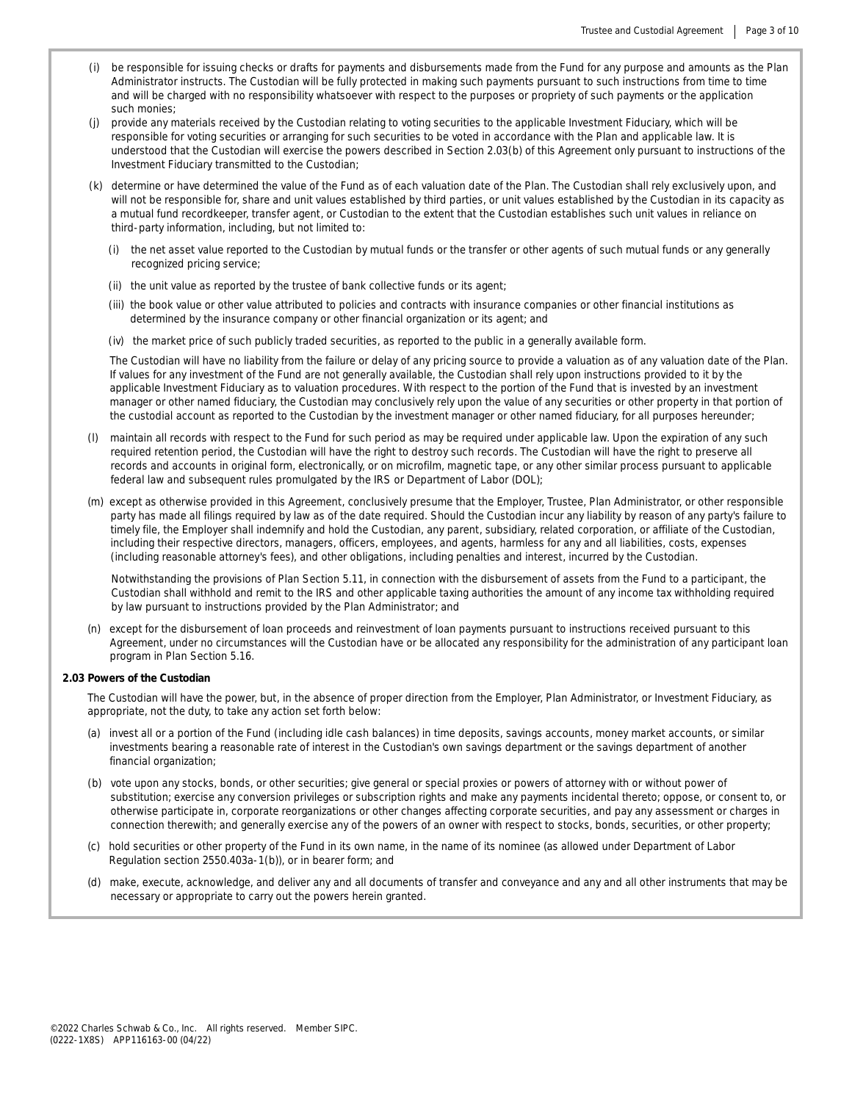- (i) be responsible for issuing checks or drafts for payments and disbursements made from the Fund for any purpose and amounts as the Plan Administrator instructs. The Custodian will be fully protected in making such payments pursuant to such instructions from time to time and will be charged with no responsibility whatsoever with respect to the purposes or propriety of such payments or the application such monies;
- (j) provide any materials received by the Custodian relating to voting securities to the applicable Investment Fiduciary, which will be responsible for voting securities or arranging for such securities to be voted in accordance with the Plan and applicable law. It is understood that the Custodian will exercise the powers described in Section 2.03(b) of this Agreement only pursuant to instructions of the Investment Fiduciary transmitted to the Custodian;
- (k) determine or have determined the value of the Fund as of each valuation date of the Plan. The Custodian shall rely exclusively upon, and will not be responsible for, share and unit values established by third parties, or unit values established by the Custodian in its capacity as a mutual fund recordkeeper, transfer agent, or Custodian to the extent that the Custodian establishes such unit values in reliance on third-party information, including, but not limited to:
	- (i) the net asset value reported to the Custodian by mutual funds or the transfer or other agents of such mutual funds or any generally recognized pricing service;
	- (ii) the unit value as reported by the trustee of bank collective funds or its agent;
	- (iii) the book value or other value attributed to policies and contracts with insurance companies or other financial institutions as determined by the insurance company or other financial organization or its agent; and
	- (iv) the market price of such publicly traded securities, as reported to the public in a generally available form.

The Custodian will have no liability from the failure or delay of any pricing source to provide a valuation as of any valuation date of the Plan. If values for any investment of the Fund are not generally available, the Custodian shall rely upon instructions provided to it by the applicable Investment Fiduciary as to valuation procedures. With respect to the portion of the Fund that is invested by an investment manager or other named fiduciary, the Custodian may conclusively rely upon the value of any securities or other property in that portion of the custodial account as reported to the Custodian by the investment manager or other named fiduciary, for all purposes hereunder;

- (l) maintain all records with respect to the Fund for such period as may be required under applicable law. Upon the expiration of any such required retention period, the Custodian will have the right to destroy such records. The Custodian will have the right to preserve all records and accounts in original form, electronically, or on microfilm, magnetic tape, or any other similar process pursuant to applicable federal law and subsequent rules promulgated by the IRS or Department of Labor (DOL);
- (m) except as otherwise provided in this Agreement, conclusively presume that the Employer, Trustee, Plan Administrator, or other responsible party has made all filings required by law as of the date required. Should the Custodian incur any liability by reason of any party's failure to timely file, the Employer shall indemnify and hold the Custodian, any parent, subsidiary, related corporation, or affiliate of the Custodian, including their respective directors, managers, officers, employees, and agents, harmless for any and all liabilities, costs, expenses (including reasonable attorney's fees), and other obligations, including penalties and interest, incurred by the Custodian.

Notwithstanding the provisions of Plan Section 5.11, in connection with the disbursement of assets from the Fund to a participant, the Custodian shall withhold and remit to the IRS and other applicable taxing authorities the amount of any income tax withholding required by law pursuant to instructions provided by the Plan Administrator; and

(n) except for the disbursement of loan proceeds and reinvestment of loan payments pursuant to instructions received pursuant to this Agreement, under no circumstances will the Custodian have or be allocated any responsibility for the administration of any participant loan program in Plan Section 5.16.

#### **2.03 Powers of the Custodian**

The Custodian will have the power, but, in the absence of proper direction from the Employer, Plan Administrator, or Investment Fiduciary, as appropriate, not the duty, to take any action set forth below:

- (a) invest all or a portion of the Fund (including idle cash balances) in time deposits, savings accounts, money market accounts, or similar investments bearing a reasonable rate of interest in the Custodian's own savings department or the savings department of another financial organization;
- (b) vote upon any stocks, bonds, or other securities; give general or special proxies or powers of attorney with or without power of substitution; exercise any conversion privileges or subscription rights and make any payments incidental thereto; oppose, or consent to, or otherwise participate in, corporate reorganizations or other changes affecting corporate securities, and pay any assessment or charges in connection therewith; and generally exercise any of the powers of an owner with respect to stocks, bonds, securities, or other property;
- (c) hold securities or other property of the Fund in its own name, in the name of its nominee (as allowed under Department of Labor Regulation section 2550.403a-1(b)), or in bearer form; and
- (d) make, execute, acknowledge, and deliver any and all documents of transfer and conveyance and any and all other instruments that may be necessary or appropriate to carry out the powers herein granted.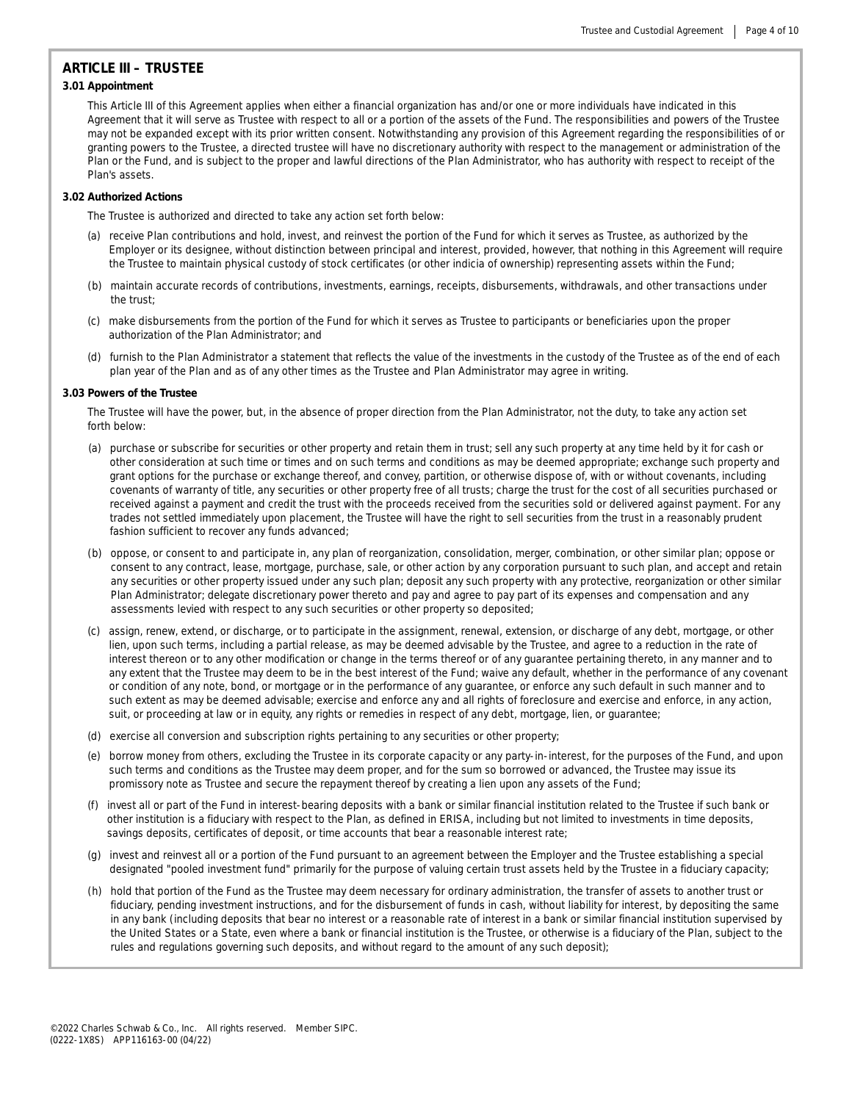# **ARTICLE III – TRUSTEE**

# **3.01 Appointment**

This Article III of this Agreement applies when either a financial organization has and/or one or more individuals have indicated in this Agreement that it will serve as Trustee with respect to all or a portion of the assets of the Fund. The responsibilities and powers of the Trustee may not be expanded except with its prior written consent. Notwithstanding any provision of this Agreement regarding the responsibilities of or granting powers to the Trustee, a directed trustee will have no discretionary authority with respect to the management or administration of the Plan or the Fund, and is subject to the proper and lawful directions of the Plan Administrator, who has authority with respect to receipt of the Plan's assets.

#### **3.02 Authorized Actions**

The Trustee is authorized and directed to take any action set forth below:

- (a) receive Plan contributions and hold, invest, and reinvest the portion of the Fund for which it serves as Trustee, as authorized by the Employer or its designee, without distinction between principal and interest, provided, however, that nothing in this Agreement will require the Trustee to maintain physical custody of stock certificates (or other indicia of ownership) representing assets within the Fund;
- (b) maintain accurate records of contributions, investments, earnings, receipts, disbursements, withdrawals, and other transactions under the trust;
- (c) make disbursements from the portion of the Fund for which it serves as Trustee to participants or beneficiaries upon the proper authorization of the Plan Administrator; and
- (d) furnish to the Plan Administrator a statement that reflects the value of the investments in the custody of the Trustee as of the end of each plan year of the Plan and as of any other times as the Trustee and Plan Administrator may agree in writing.

#### **3.03 Powers of the Trustee**

The Trustee will have the power, but, in the absence of proper direction from the Plan Administrator, not the duty, to take any action set forth below:

- (a) purchase or subscribe for securities or other property and retain them in trust; sell any such property at any time held by it for cash or other consideration at such time or times and on such terms and conditions as may be deemed appropriate; exchange such property and grant options for the purchase or exchange thereof, and convey, partition, or otherwise dispose of, with or without covenants, including covenants of warranty of title, any securities or other property free of all trusts; charge the trust for the cost of all securities purchased or received against a payment and credit the trust with the proceeds received from the securities sold or delivered against payment. For any trades not settled immediately upon placement, the Trustee will have the right to sell securities from the trust in a reasonably prudent fashion sufficient to recover any funds advanced;
- (b) oppose, or consent to and participate in, any plan of reorganization, consolidation, merger, combination, or other similar plan; oppose or consent to any contract, lease, mortgage, purchase, sale, or other action by any corporation pursuant to such plan, and accept and retain any securities or other property issued under any such plan; deposit any such property with any protective, reorganization or other similar Plan Administrator; delegate discretionary power thereto and pay and agree to pay part of its expenses and compensation and any assessments levied with respect to any such securities or other property so deposited;
- (c) assign, renew, extend, or discharge, or to participate in the assignment, renewal, extension, or discharge of any debt, mortgage, or other lien, upon such terms, including a partial release, as may be deemed advisable by the Trustee, and agree to a reduction in the rate of interest thereon or to any other modification or change in the terms thereof or of any guarantee pertaining thereto, in any manner and to any extent that the Trustee may deem to be in the best interest of the Fund; waive any default, whether in the performance of any covenant or condition of any note, bond, or mortgage or in the performance of any guarantee, or enforce any such default in such manner and to such extent as may be deemed advisable; exercise and enforce any and all rights of foreclosure and exercise and enforce, in any action, suit, or proceeding at law or in equity, any rights or remedies in respect of any debt, mortgage, lien, or guarantee;
- (d) exercise all conversion and subscription rights pertaining to any securities or other property;
- (e) borrow money from others, excluding the Trustee in its corporate capacity or any party-in-interest, for the purposes of the Fund, and upon such terms and conditions as the Trustee may deem proper, and for the sum so borrowed or advanced, the Trustee may issue its promissory note as Trustee and secure the repayment thereof by creating a lien upon any assets of the Fund;
- (f) invest all or part of the Fund in interest-bearing deposits with a bank or similar financial institution related to the Trustee if such bank or other institution is a fiduciary with respect to the Plan, as defined in ERISA, including but not limited to investments in time deposits, savings deposits, certificates of deposit, or time accounts that bear a reasonable interest rate;
- (g) invest and reinvest all or a portion of the Fund pursuant to an agreement between the Employer and the Trustee establishing a special designated "pooled investment fund" primarily for the purpose of valuing certain trust assets held by the Trustee in a fiduciary capacity;
- (h) hold that portion of the Fund as the Trustee may deem necessary for ordinary administration, the transfer of assets to another trust or fiduciary, pending investment instructions, and for the disbursement of funds in cash, without liability for interest, by depositing the same in any bank (including deposits that bear no interest or a reasonable rate of interest in a bank or similar financial institution supervised by the United States or a State, even where a bank or financial institution is the Trustee, or otherwise is a fiduciary of the Plan, subject to the rules and regulations governing such deposits, and without regard to the amount of any such deposit);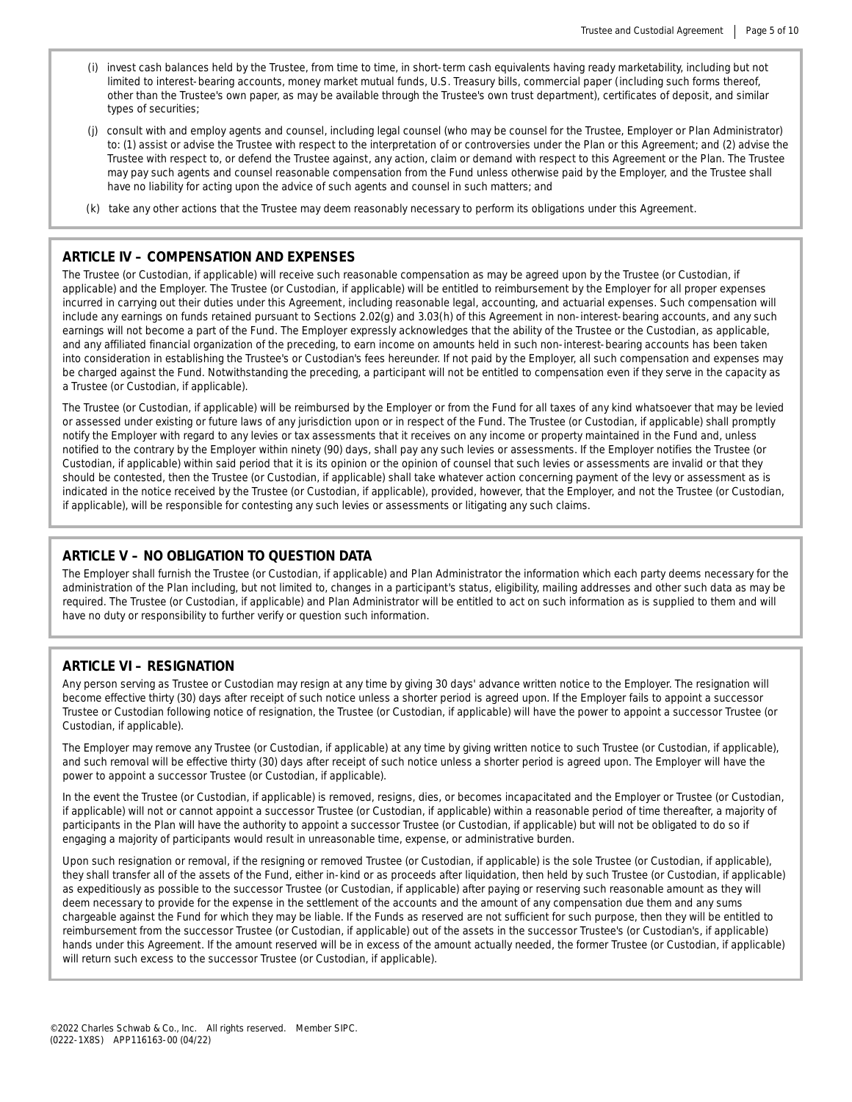- (i) invest cash balances held by the Trustee, from time to time, in short-term cash equivalents having ready marketability, including but not limited to interest-bearing accounts, money market mutual funds, U.S. Treasury bills, commercial paper (including such forms thereof, other than the Trustee's own paper, as may be available through the Trustee's own trust department), certificates of deposit, and similar types of securities;
- (j) consult with and employ agents and counsel, including legal counsel (who may be counsel for the Trustee, Employer or Plan Administrator) to: (1) assist or advise the Trustee with respect to the interpretation of or controversies under the Plan or this Agreement; and (2) advise the Trustee with respect to, or defend the Trustee against, any action, claim or demand with respect to this Agreement or the Plan. The Trustee may pay such agents and counsel reasonable compensation from the Fund unless otherwise paid by the Employer, and the Trustee shall have no liability for acting upon the advice of such agents and counsel in such matters; and
- (k) take any other actions that the Trustee may deem reasonably necessary to perform its obligations under this Agreement.

# **ARTICLE IV – COMPENSATION AND EXPENSES**

The Trustee (or Custodian, if applicable) will receive such reasonable compensation as may be agreed upon by the Trustee (or Custodian, if applicable) and the Employer. The Trustee (or Custodian, if applicable) will be entitled to reimbursement by the Employer for all proper expenses incurred in carrying out their duties under this Agreement, including reasonable legal, accounting, and actuarial expenses. Such compensation will include any earnings on funds retained pursuant to Sections 2.02(g) and 3.03(h) of this Agreement in non-interest-bearing accounts, and any such earnings will not become a part of the Fund. The Employer expressly acknowledges that the ability of the Trustee or the Custodian, as applicable, and any affiliated financial organization of the preceding, to earn income on amounts held in such non-interest-bearing accounts has been taken into consideration in establishing the Trustee's or Custodian's fees hereunder. If not paid by the Employer, all such compensation and expenses may be charged against the Fund. Notwithstanding the preceding, a participant will not be entitled to compensation even if they serve in the capacity as a Trustee (or Custodian, if applicable).

The Trustee (or Custodian, if applicable) will be reimbursed by the Employer or from the Fund for all taxes of any kind whatsoever that may be levied or assessed under existing or future laws of any jurisdiction upon or in respect of the Fund. The Trustee (or Custodian, if applicable) shall promptly notify the Employer with regard to any levies or tax assessments that it receives on any income or property maintained in the Fund and, unless notified to the contrary by the Employer within ninety (90) days, shall pay any such levies or assessments. If the Employer notifies the Trustee (or Custodian, if applicable) within said period that it is its opinion or the opinion of counsel that such levies or assessments are invalid or that they should be contested, then the Trustee (or Custodian, if applicable) shall take whatever action concerning payment of the levy or assessment as is indicated in the notice received by the Trustee (or Custodian, if applicable), provided, however, that the Employer, and not the Trustee (or Custodian, if applicable), will be responsible for contesting any such levies or assessments or litigating any such claims.

# **ARTICLE V – NO OBLIGATION TO QUESTION DATA**

The Employer shall furnish the Trustee (or Custodian, if applicable) and Plan Administrator the information which each party deems necessary for the administration of the Plan including, but not limited to, changes in a participant's status, eligibility, mailing addresses and other such data as may be required. The Trustee (or Custodian, if applicable) and Plan Administrator will be entitled to act on such information as is supplied to them and will have no duty or responsibility to further verify or question such information.

# **ARTICLE VI – RESIGNATION**

Any person serving as Trustee or Custodian may resign at any time by giving 30 days' advance written notice to the Employer. The resignation will become effective thirty (30) days after receipt of such notice unless a shorter period is agreed upon. If the Employer fails to appoint a successor Trustee or Custodian following notice of resignation, the Trustee (or Custodian, if applicable) will have the power to appoint a successor Trustee (or Custodian, if applicable).

The Employer may remove any Trustee (or Custodian, if applicable) at any time by giving written notice to such Trustee (or Custodian, if applicable), and such removal will be effective thirty (30) days after receipt of such notice unless a shorter period is agreed upon. The Employer will have the power to appoint a successor Trustee (or Custodian, if applicable).

In the event the Trustee (or Custodian, if applicable) is removed, resigns, dies, or becomes incapacitated and the Employer or Trustee (or Custodian, if applicable) will not or cannot appoint a successor Trustee (or Custodian, if applicable) within a reasonable period of time thereafter, a majority of participants in the Plan will have the authority to appoint a successor Trustee (or Custodian, if applicable) but will not be obligated to do so if engaging a majority of participants would result in unreasonable time, expense, or administrative burden.

Upon such resignation or removal, if the resigning or removed Trustee (or Custodian, if applicable) is the sole Trustee (or Custodian, if applicable), they shall transfer all of the assets of the Fund, either in-kind or as proceeds after liquidation, then held by such Trustee (or Custodian, if applicable) as expeditiously as possible to the successor Trustee (or Custodian, if applicable) after paying or reserving such reasonable amount as they will deem necessary to provide for the expense in the settlement of the accounts and the amount of any compensation due them and any sums chargeable against the Fund for which they may be liable. If the Funds as reserved are not sufficient for such purpose, then they will be entitled to reimbursement from the successor Trustee (or Custodian, if applicable) out of the assets in the successor Trustee's (or Custodian's, if applicable) hands under this Agreement. If the amount reserved will be in excess of the amount actually needed, the former Trustee (or Custodian, if applicable) will return such excess to the successor Trustee (or Custodian, if applicable).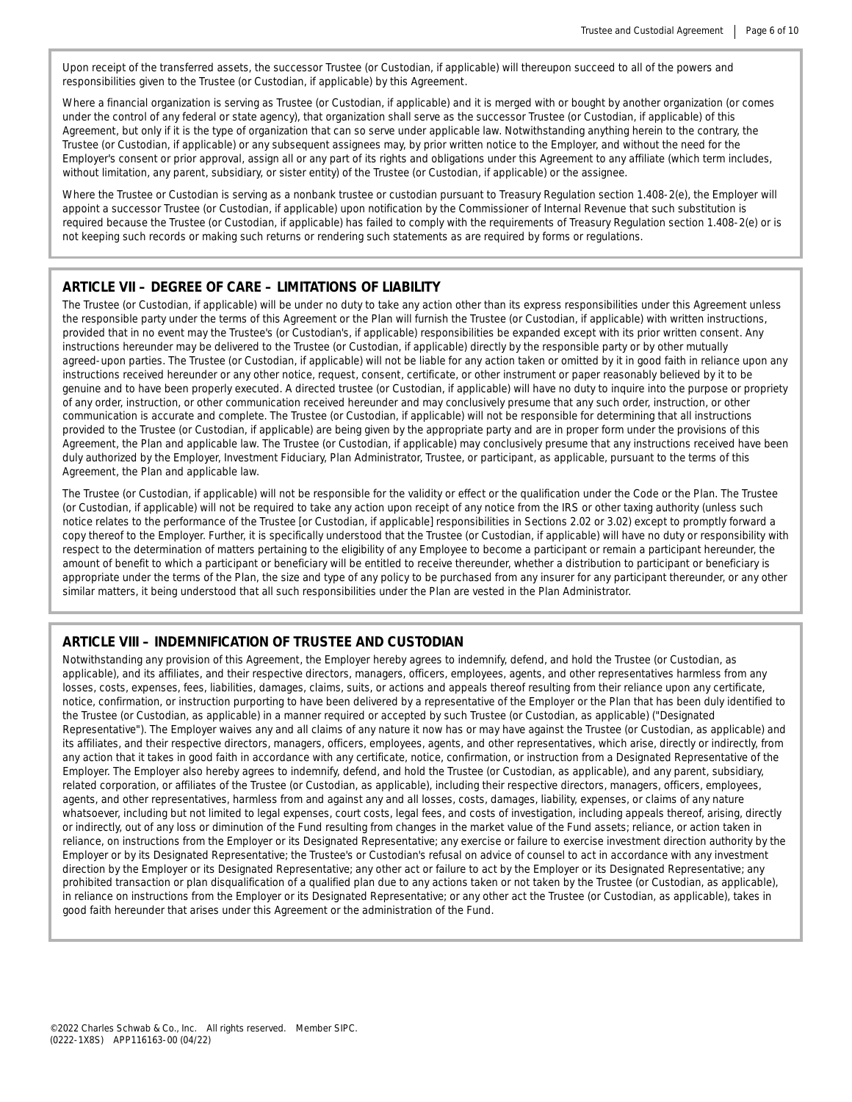Upon receipt of the transferred assets, the successor Trustee (or Custodian, if applicable) will thereupon succeed to all of the powers and responsibilities given to the Trustee (or Custodian, if applicable) by this Agreement.

Where a financial organization is serving as Trustee (or Custodian, if applicable) and it is merged with or bought by another organization (or comes under the control of any federal or state agency), that organization shall serve as the successor Trustee (or Custodian, if applicable) of this Agreement, but only if it is the type of organization that can so serve under applicable law. Notwithstanding anything herein to the contrary, the Trustee (or Custodian, if applicable) or any subsequent assignees may, by prior written notice to the Employer, and without the need for the Employer's consent or prior approval, assign all or any part of its rights and obligations under this Agreement to any affiliate (which term includes, without limitation, any parent, subsidiary, or sister entity) of the Trustee (or Custodian, if applicable) or the assignee.

Where the Trustee or Custodian is serving as a nonbank trustee or custodian pursuant to Treasury Regulation section 1.408-2(e), the Employer will appoint a successor Trustee (or Custodian, if applicable) upon notification by the Commissioner of Internal Revenue that such substitution is required because the Trustee (or Custodian, if applicable) has failed to comply with the requirements of Treasury Regulation section 1.408-2(e) or is not keeping such records or making such returns or rendering such statements as are required by forms or regulations.

## **ARTICLE VII – DEGREE OF CARE – LIMITATIONS OF LIABILITY**

The Trustee (or Custodian, if applicable) will be under no duty to take any action other than its express responsibilities under this Agreement unless the responsible party under the terms of this Agreement or the Plan will furnish the Trustee (or Custodian, if applicable) with written instructions, provided that in no event may the Trustee's (or Custodian's, if applicable) responsibilities be expanded except with its prior written consent. Any instructions hereunder may be delivered to the Trustee (or Custodian, if applicable) directly by the responsible party or by other mutually agreed-upon parties. The Trustee (or Custodian, if applicable) will not be liable for any action taken or omitted by it in good faith in reliance upon any instructions received hereunder or any other notice, request, consent, certificate, or other instrument or paper reasonably believed by it to be genuine and to have been properly executed. A directed trustee (or Custodian, if applicable) will have no duty to inquire into the purpose or propriety of any order, instruction, or other communication received hereunder and may conclusively presume that any such order, instruction, or other communication is accurate and complete. The Trustee (or Custodian, if applicable) will not be responsible for determining that all instructions provided to the Trustee (or Custodian, if applicable) are being given by the appropriate party and are in proper form under the provisions of this Agreement, the Plan and applicable law. The Trustee (or Custodian, if applicable) may conclusively presume that any instructions received have been duly authorized by the Employer, Investment Fiduciary, Plan Administrator, Trustee, or participant, as applicable, pursuant to the terms of this Agreement, the Plan and applicable law.

The Trustee (or Custodian, if applicable) will not be responsible for the validity or effect or the qualification under the Code or the Plan. The Trustee (or Custodian, if applicable) will not be required to take any action upon receipt of any notice from the IRS or other taxing authority (unless such notice relates to the performance of the Trustee [or Custodian, if applicable] responsibilities in Sections 2.02 or 3.02) except to promptly forward a copy thereof to the Employer. Further, it is specifically understood that the Trustee (or Custodian, if applicable) will have no duty or responsibility with respect to the determination of matters pertaining to the eligibility of any Employee to become a participant or remain a participant hereunder, the amount of benefit to which a participant or beneficiary will be entitled to receive thereunder, whether a distribution to participant or beneficiary is appropriate under the terms of the Plan, the size and type of any policy to be purchased from any insurer for any participant thereunder, or any other similar matters, it being understood that all such responsibilities under the Plan are vested in the Plan Administrator.

# **ARTICLE VIII – INDEMNIFICATION OF TRUSTEE AND CUSTODIAN**

Notwithstanding any provision of this Agreement, the Employer hereby agrees to indemnify, defend, and hold the Trustee (or Custodian, as applicable), and its affiliates, and their respective directors, managers, officers, employees, agents, and other representatives harmless from any losses, costs, expenses, fees, liabilities, damages, claims, suits, or actions and appeals thereof resulting from their reliance upon any certificate, notice, confirmation, or instruction purporting to have been delivered by a representative of the Employer or the Plan that has been duly identified to the Trustee (or Custodian, as applicable) in a manner required or accepted by such Trustee (or Custodian, as applicable) ("Designated Representative"). The Employer waives any and all claims of any nature it now has or may have against the Trustee (or Custodian, as applicable) and its affiliates, and their respective directors, managers, officers, employees, agents, and other representatives, which arise, directly or indirectly, from any action that it takes in good faith in accordance with any certificate, notice, confirmation, or instruction from a Designated Representative of the Employer. The Employer also hereby agrees to indemnify, defend, and hold the Trustee (or Custodian, as applicable), and any parent, subsidiary, related corporation, or affiliates of the Trustee (or Custodian, as applicable), including their respective directors, managers, officers, employees, agents, and other representatives, harmless from and against any and all losses, costs, damages, liability, expenses, or claims of any nature whatsoever, including but not limited to legal expenses, court costs, legal fees, and costs of investigation, including appeals thereof, arising, directly or indirectly, out of any loss or diminution of the Fund resulting from changes in the market value of the Fund assets; reliance, or action taken in reliance, on instructions from the Employer or its Designated Representative; any exercise or failure to exercise investment direction authority by the Employer or by its Designated Representative; the Trustee's or Custodian's refusal on advice of counsel to act in accordance with any investment direction by the Employer or its Designated Representative; any other act or failure to act by the Employer or its Designated Representative; any prohibited transaction or plan disqualification of a qualified plan due to any actions taken or not taken by the Trustee (or Custodian, as applicable), in reliance on instructions from the Employer or its Designated Representative; or any other act the Trustee (or Custodian, as applicable), takes in good faith hereunder that arises under this Agreement or the administration of the Fund.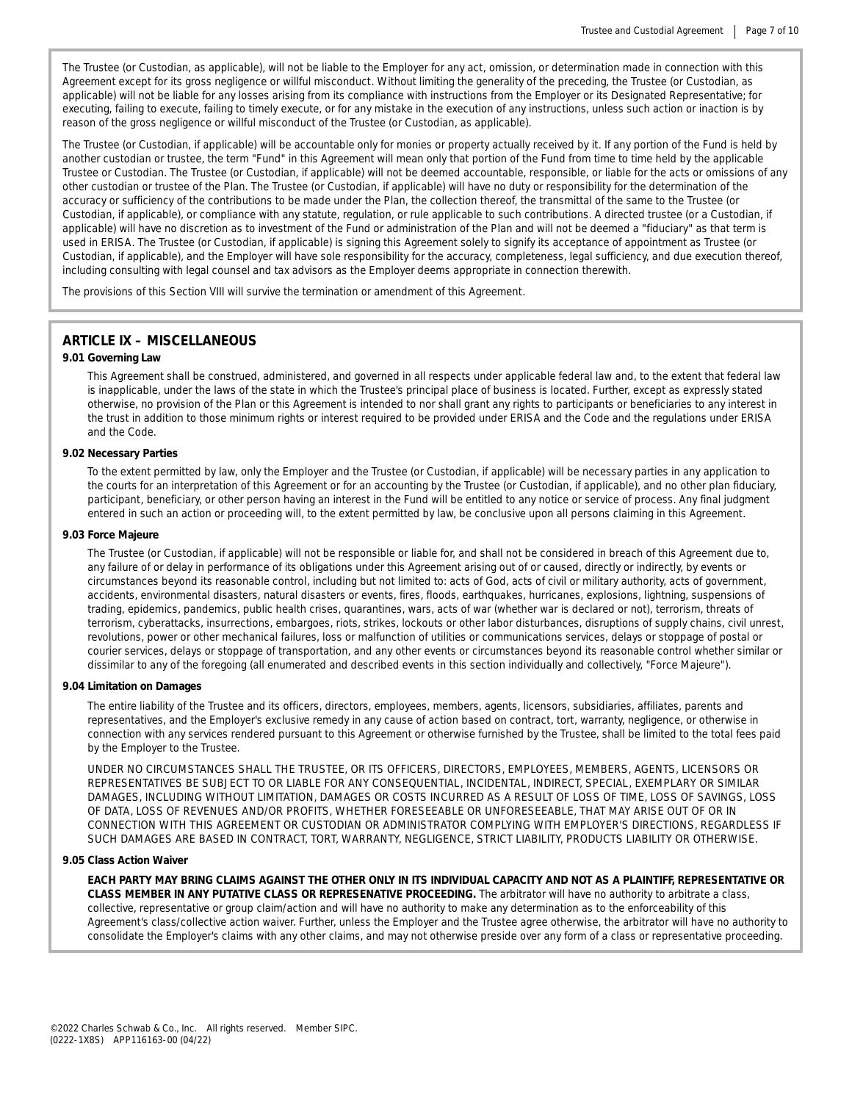The Trustee (or Custodian, as applicable), will not be liable to the Employer for any act, omission, or determination made in connection with this Agreement except for its gross negligence or willful misconduct. Without limiting the generality of the preceding, the Trustee (or Custodian, as applicable) will not be liable for any losses arising from its compliance with instructions from the Employer or its Designated Representative; for executing, failing to execute, failing to timely execute, or for any mistake in the execution of any instructions, unless such action or inaction is by reason of the gross negligence or willful misconduct of the Trustee (or Custodian, as applicable).

The Trustee (or Custodian, if applicable) will be accountable only for monies or property actually received by it. If any portion of the Fund is held by another custodian or trustee, the term "Fund" in this Agreement will mean only that portion of the Fund from time to time held by the applicable Trustee or Custodian. The Trustee (or Custodian, if applicable) will not be deemed accountable, responsible, or liable for the acts or omissions of any other custodian or trustee of the Plan. The Trustee (or Custodian, if applicable) will have no duty or responsibility for the determination of the accuracy or sufficiency of the contributions to be made under the Plan, the collection thereof, the transmittal of the same to the Trustee (or Custodian, if applicable), or compliance with any statute, regulation, or rule applicable to such contributions. A directed trustee (or a Custodian, if applicable) will have no discretion as to investment of the Fund or administration of the Plan and will not be deemed a "fiduciary" as that term is used in ERISA. The Trustee (or Custodian, if applicable) is signing this Agreement solely to signify its acceptance of appointment as Trustee (or Custodian, if applicable), and the Employer will have sole responsibility for the accuracy, completeness, legal sufficiency, and due execution thereof, including consulting with legal counsel and tax advisors as the Employer deems appropriate in connection therewith.

The provisions of this Section VIII will survive the termination or amendment of this Agreement.

# **ARTICLE IX – MISCELLANEOUS**

#### **9.01 Governing Law**

This Agreement shall be construed, administered, and governed in all respects under applicable federal law and, to the extent that federal law is inapplicable, under the laws of the state in which the Trustee's principal place of business is located. Further, except as expressly stated otherwise, no provision of the Plan or this Agreement is intended to nor shall grant any rights to participants or beneficiaries to any interest in the trust in addition to those minimum rights or interest required to be provided under ERISA and the Code and the regulations under ERISA and the Code.

### **9.02 Necessary Parties**

To the extent permitted by law, only the Employer and the Trustee (or Custodian, if applicable) will be necessary parties in any application to the courts for an interpretation of this Agreement or for an accounting by the Trustee (or Custodian, if applicable), and no other plan fiduciary, participant, beneficiary, or other person having an interest in the Fund will be entitled to any notice or service of process. Any final judgment entered in such an action or proceeding will, to the extent permitted by law, be conclusive upon all persons claiming in this Agreement.

#### **9.03 Force Majeure**

The Trustee (or Custodian, if applicable) will not be responsible or liable for, and shall not be considered in breach of this Agreement due to, any failure of or delay in performance of its obligations under this Agreement arising out of or caused, directly or indirectly, by events or circumstances beyond its reasonable control, including but not limited to: acts of God, acts of civil or military authority, acts of government, accidents, environmental disasters, natural disasters or events, fires, floods, earthquakes, hurricanes, explosions, lightning, suspensions of trading, epidemics, pandemics, public health crises, quarantines, wars, acts of war (whether war is declared or not), terrorism, threats of terrorism, cyberattacks, insurrections, embargoes, riots, strikes, lockouts or other labor disturbances, disruptions of supply chains, civil unrest, revolutions, power or other mechanical failures, loss or malfunction of utilities or communications services, delays or stoppage of postal or courier services, delays or stoppage of transportation, and any other events or circumstances beyond its reasonable control whether similar or dissimilar to any of the foregoing (all enumerated and described events in this section individually and collectively, "Force Majeure").

#### **9.04 Limitation on Damages**

The entire liability of the Trustee and its officers, directors, employees, members, agents, licensors, subsidiaries, affiliates, parents and representatives, and the Employer's exclusive remedy in any cause of action based on contract, tort, warranty, negligence, or otherwise in connection with any services rendered pursuant to this Agreement or otherwise furnished by the Trustee, shall be limited to the total fees paid by the Employer to the Trustee.

UNDER NO CIRCUMSTANCES SHALL THE TRUSTEE, OR ITS OFFICERS, DIRECTORS, EMPLOYEES, MEMBERS, AGENTS, LICENSORS OR REPRESENTATIVES BE SUBJECT TO OR LIABLE FOR ANY CONSEQUENTIAL, INCIDENTAL, INDIRECT, SPECIAL, EXEMPLARY OR SIMILAR DAMAGES, INCLUDING WITHOUT LIMITATION, DAMAGES OR COSTS INCURRED AS A RESULT OF LOSS OF TIME, LOSS OF SAVINGS, LOSS OF DATA, LOSS OF REVENUES AND/OR PROFITS, WHETHER FORESEEABLE OR UNFORESEEABLE, THAT MAY ARISE OUT OF OR IN CONNECTION WITH THIS AGREEMENT OR CUSTODIAN OR ADMINISTRATOR COMPLYING WITH EMPLOYER'S DIRECTIONS, REGARDLESS IF SUCH DAMAGES ARE BASED IN CONTRACT, TORT, WARRANTY, NEGLIGENCE, STRICT LIABILITY, PRODUCTS LIABILITY OR OTHERWISE.

#### **9.05 Class Action Waiver**

EACH PARTY MAY BRING CLAIMS AGAINST THE OTHER ONLY IN ITS INDIVIDUAL CAPACITY AND NOT AS A PLAINTIFF, REPRESENTATIVE OR **CLASS MEMBER IN ANY PUTATIVE CLASS OR REPRESENATIVE PROCEEDING.** The arbitrator will have no authority to arbitrate a class, collective, representative or group claim/action and will have no authority to make any determination as to the enforceability of this Agreement's class/collective action waiver. Further, unless the Employer and the Trustee agree otherwise, the arbitrator will have no authority to consolidate the Employer's claims with any other claims, and may not otherwise preside over any form of a class or representative proceeding.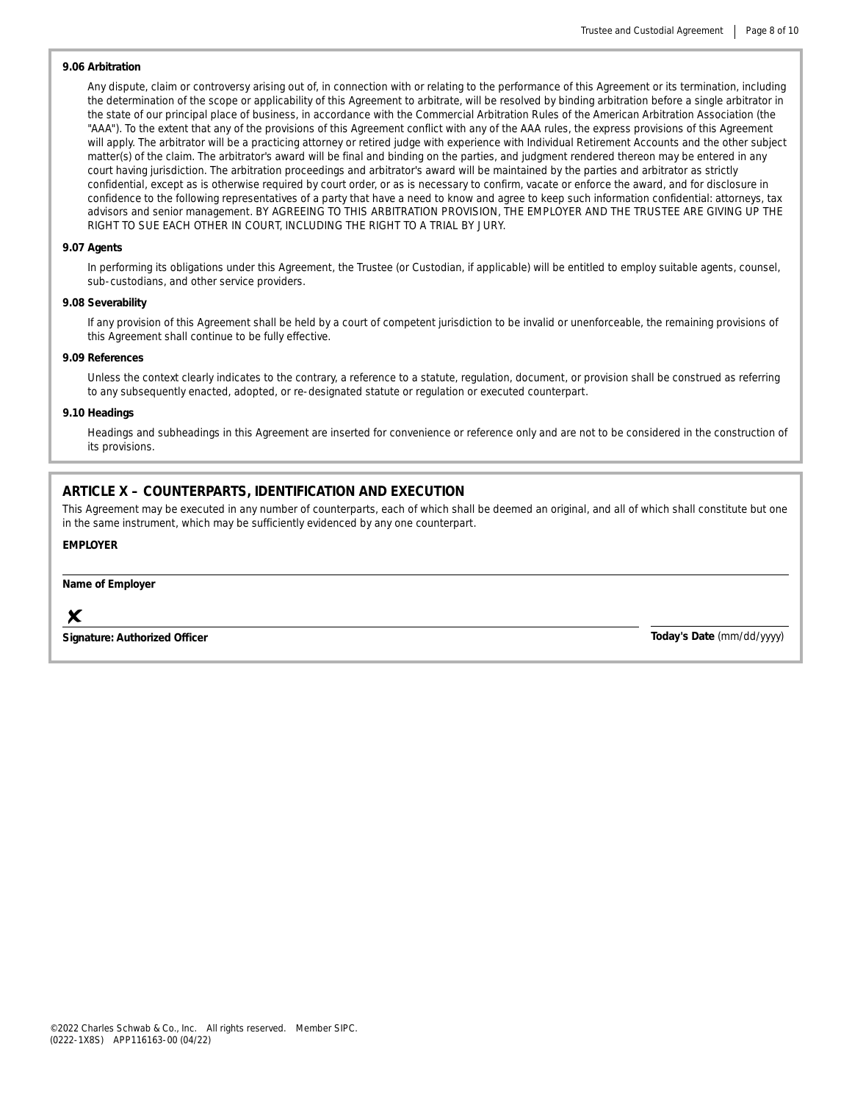## **9.06 Arbitration**

Any dispute, claim or controversy arising out of, in connection with or relating to the performance of this Agreement or its termination, including the determination of the scope or applicability of this Agreement to arbitrate, will be resolved by binding arbitration before a single arbitrator in the state of our principal place of business, in accordance with the Commercial Arbitration Rules of the American Arbitration Association (the "AAA"). To the extent that any of the provisions of this Agreement conflict with any of the AAA rules, the express provisions of this Agreement will apply. The arbitrator will be a practicing attorney or retired judge with experience with Individual Retirement Accounts and the other subject matter(s) of the claim. The arbitrator's award will be final and binding on the parties, and judgment rendered thereon may be entered in any court having jurisdiction. The arbitration proceedings and arbitrator's award will be maintained by the parties and arbitrator as strictly confidential, except as is otherwise required by court order, or as is necessary to confirm, vacate or enforce the award, and for disclosure in confidence to the following representatives of a party that have a need to know and agree to keep such information confidential: attorneys, tax advisors and senior management. BY AGREEING TO THIS ARBITRATION PROVISION, THE EMPLOYER AND THE TRUSTEE ARE GIVING UP THE RIGHT TO SUE EACH OTHER IN COURT, INCLUDING THE RIGHT TO A TRIAL BY JURY.

#### **9.07 Agents**

In performing its obligations under this Agreement, the Trustee (or Custodian, if applicable) will be entitled to employ suitable agents, counsel, sub-custodians, and other service providers.

#### **9.08 Severability**

If any provision of this Agreement shall be held by a court of competent jurisdiction to be invalid or unenforceable, the remaining provisions of this Agreement shall continue to be fully effective.

#### **9.09 References**

Unless the context clearly indicates to the contrary, a reference to a statute, regulation, document, or provision shall be construed as referring to any subsequently enacted, adopted, or re-designated statute or regulation or executed counterpart.

#### **9.10 Headings**

Headings and subheadings in this Agreement are inserted for convenience or reference only and are not to be considered in the construction of its provisions.

# **ARTICLE X – COUNTERPARTS, IDENTIFICATION AND EXECUTION**

This Agreement may be executed in any number of counterparts, each of which shall be deemed an original, and all of which shall constitute but one in the same instrument, which may be sufficiently evidenced by any one counterpart.

#### **EMPLOYER**

#### **Name of Employer**

# $\boldsymbol{\mathsf{X}}$

**Signature: Authorized Officer**

**Today's Date** *(mm/dd/yyyy)*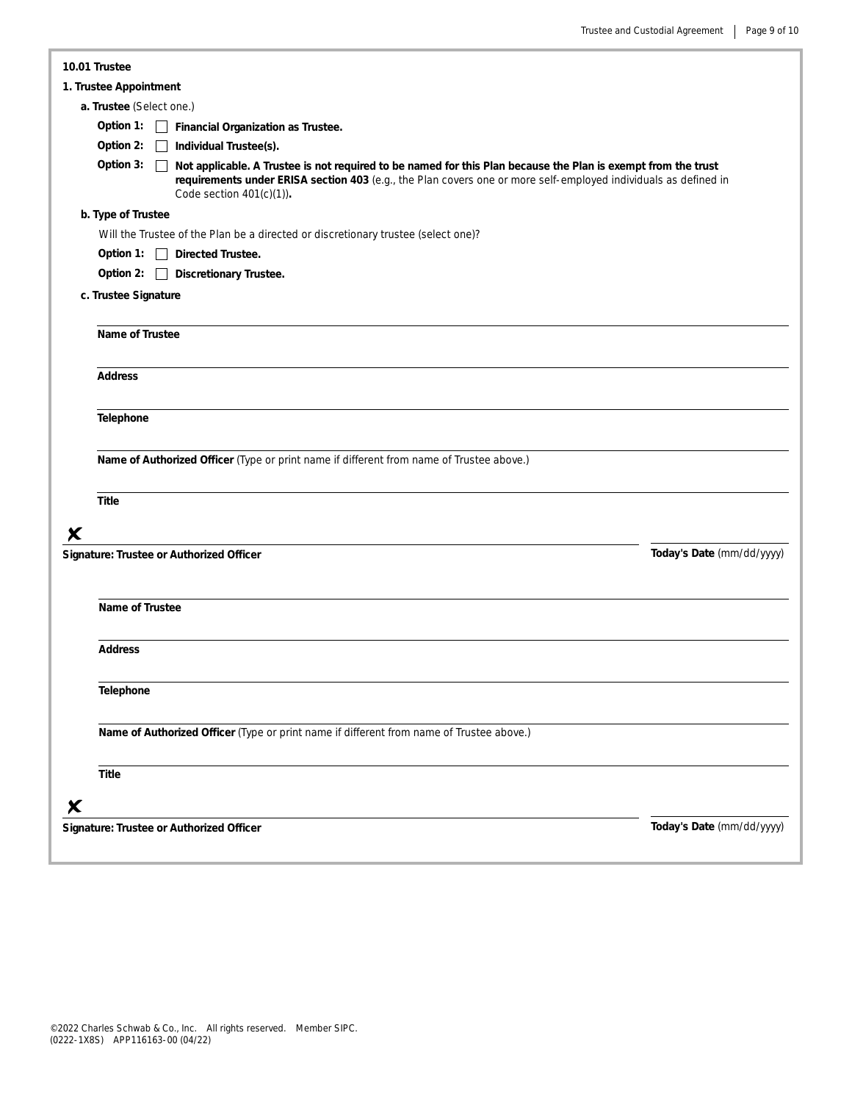| 10.01 Trustee                                                                                                                                                                                                                                                                |                           |  |  |  |
|------------------------------------------------------------------------------------------------------------------------------------------------------------------------------------------------------------------------------------------------------------------------------|---------------------------|--|--|--|
| 1. Trustee Appointment                                                                                                                                                                                                                                                       |                           |  |  |  |
| a. Trustee (Select one.)                                                                                                                                                                                                                                                     |                           |  |  |  |
| Option 1:<br>Financial Organization as Trustee.                                                                                                                                                                                                                              |                           |  |  |  |
| Option 2:<br>Individual Trustee(s).                                                                                                                                                                                                                                          |                           |  |  |  |
| Option 3:<br>Not applicable. A Trustee is not required to be named for this Plan because the Plan is exempt from the trust<br>requirements under ERISA section 403 (e.g., the Plan covers one or more self-employed individuals as defined in<br>Code section $401(c)(1)$ ). |                           |  |  |  |
| b. Type of Trustee                                                                                                                                                                                                                                                           |                           |  |  |  |
| Will the Trustee of the Plan be a directed or discretionary trustee (select one)?                                                                                                                                                                                            |                           |  |  |  |
| Option 1: Directed Trustee.                                                                                                                                                                                                                                                  |                           |  |  |  |
| Option 2:<br><b>Discretionary Trustee.</b>                                                                                                                                                                                                                                   |                           |  |  |  |
| c. Trustee Signature                                                                                                                                                                                                                                                         |                           |  |  |  |
| Name of Trustee                                                                                                                                                                                                                                                              |                           |  |  |  |
| <b>Address</b>                                                                                                                                                                                                                                                               |                           |  |  |  |
| Telephone                                                                                                                                                                                                                                                                    |                           |  |  |  |
| Name of Authorized Officer (Type or print name if different from name of Trustee above.)<br>Title                                                                                                                                                                            |                           |  |  |  |
| X                                                                                                                                                                                                                                                                            |                           |  |  |  |
| Signature: Trustee or Authorized Officer                                                                                                                                                                                                                                     | Today's Date (mm/dd/yyyy) |  |  |  |
| Name of Trustee                                                                                                                                                                                                                                                              |                           |  |  |  |
| <b>Address</b>                                                                                                                                                                                                                                                               |                           |  |  |  |
| Telephone                                                                                                                                                                                                                                                                    |                           |  |  |  |
| Name of Authorized Officer (Type or print name if different from name of Trustee above.)                                                                                                                                                                                     |                           |  |  |  |
| <b>Title</b>                                                                                                                                                                                                                                                                 |                           |  |  |  |
| X                                                                                                                                                                                                                                                                            |                           |  |  |  |
| Signature: Trustee or Authorized Officer                                                                                                                                                                                                                                     | Today's Date (mm/dd/yyyy) |  |  |  |